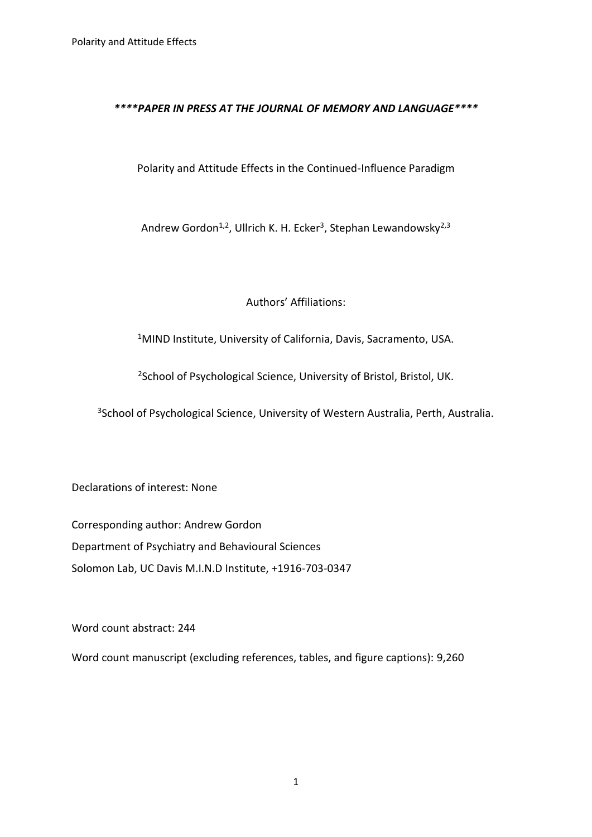# *\*\*\*\*PAPER IN PRESS AT THE JOURNAL OF MEMORY AND LANGUAGE\*\*\*\**

# Polarity and Attitude Effects in the Continued-Influence Paradigm

Andrew Gordon<sup>1,2</sup>, Ullrich K. H. Ecker<sup>3</sup>, Stephan Lewandowsky<sup>2,3</sup>

Authors' Affiliations:

<sup>1</sup>MIND Institute, University of California, Davis, Sacramento, USA.

<sup>2</sup>School of Psychological Science, University of Bristol, Bristol, UK.

<sup>3</sup>School of Psychological Science, University of Western Australia, Perth, Australia.

Declarations of interest: None

Corresponding author: Andrew Gordon Department of Psychiatry and Behavioural Sciences Solomon Lab, UC Davis M.I.N.D Institute, +1916-703-0347

Word count abstract: 244

Word count manuscript (excluding references, tables, and figure captions): 9,260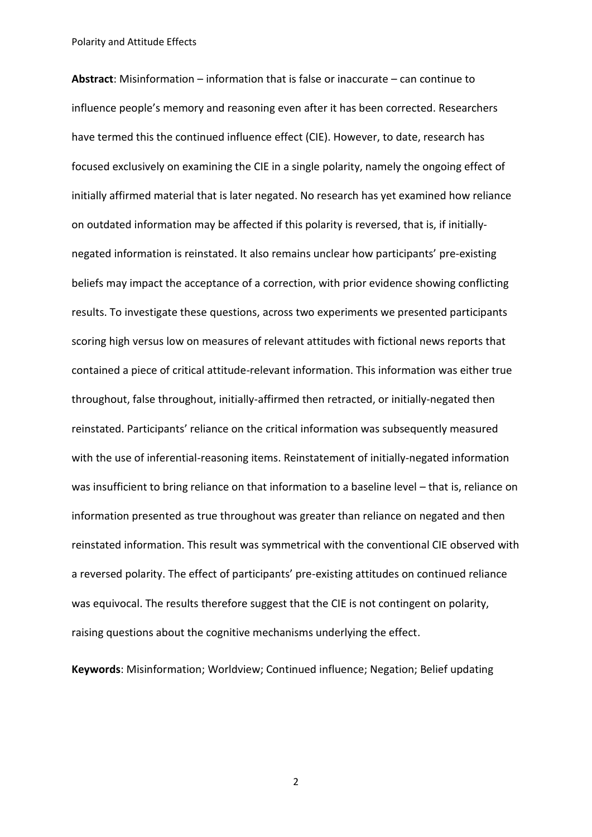**Abstract**: Misinformation – information that is false or inaccurate – can continue to influence people's memory and reasoning even after it has been corrected. Researchers have termed this the continued influence effect (CIE). However, to date, research has focused exclusively on examining the CIE in a single polarity, namely the ongoing effect of initially affirmed material that is later negated. No research has yet examined how reliance on outdated information may be affected if this polarity is reversed, that is, if initiallynegated information is reinstated. It also remains unclear how participants' pre-existing beliefs may impact the acceptance of a correction, with prior evidence showing conflicting results. To investigate these questions, across two experiments we presented participants scoring high versus low on measures of relevant attitudes with fictional news reports that contained a piece of critical attitude-relevant information. This information was either true throughout, false throughout, initially-affirmed then retracted, or initially-negated then reinstated. Participants' reliance on the critical information was subsequently measured with the use of inferential-reasoning items. Reinstatement of initially-negated information was insufficient to bring reliance on that information to a baseline level – that is, reliance on information presented as true throughout was greater than reliance on negated and then reinstated information. This result was symmetrical with the conventional CIE observed with a reversed polarity. The effect of participants' pre-existing attitudes on continued reliance was equivocal. The results therefore suggest that the CIE is not contingent on polarity, raising questions about the cognitive mechanisms underlying the effect.

**Keywords**: Misinformation; Worldview; Continued influence; Negation; Belief updating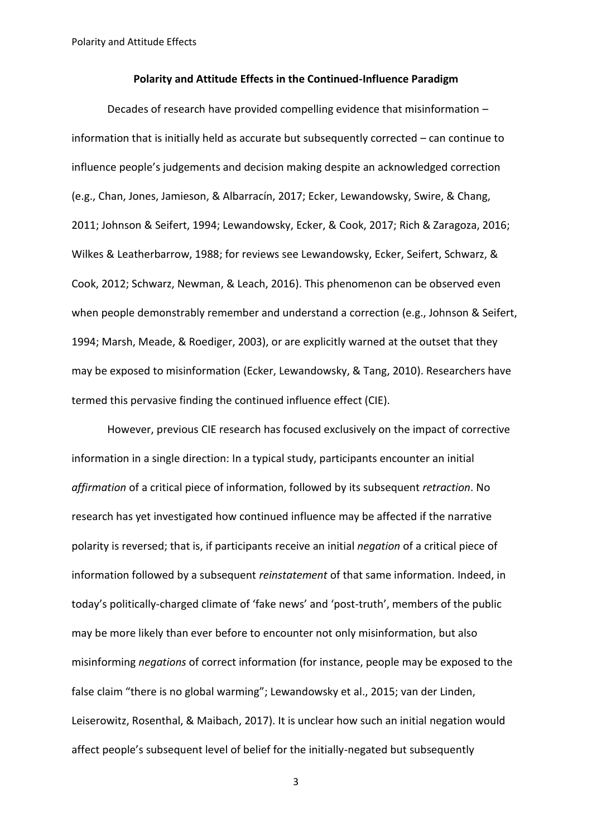## **Polarity and Attitude Effects in the Continued-Influence Paradigm**

Decades of research have provided compelling evidence that misinformation – information that is initially held as accurate but subsequently corrected – can continue to influence people's judgements and decision making despite an acknowledged correction (e.g., Chan, Jones, Jamieson, & Albarracín, 2017; Ecker, Lewandowsky, Swire, & Chang, 2011; Johnson & Seifert, 1994; Lewandowsky, Ecker, & Cook, 2017; Rich & Zaragoza, 2016; Wilkes & Leatherbarrow, 1988; for reviews see Lewandowsky, Ecker, Seifert, Schwarz, & Cook, 2012; Schwarz, Newman, & Leach, 2016). This phenomenon can be observed even when people demonstrably remember and understand a correction (e.g., Johnson & Seifert, 1994; Marsh, Meade, & Roediger, 2003), or are explicitly warned at the outset that they may be exposed to misinformation (Ecker, Lewandowsky, & Tang, 2010). Researchers have termed this pervasive finding the continued influence effect (CIE).

However, previous CIE research has focused exclusively on the impact of corrective information in a single direction: In a typical study, participants encounter an initial *affirmation* of a critical piece of information, followed by its subsequent *retraction*. No research has yet investigated how continued influence may be affected if the narrative polarity is reversed; that is, if participants receive an initial *negation* of a critical piece of information followed by a subsequent *reinstatement* of that same information. Indeed, in today's politically-charged climate of 'fake news' and 'post-truth', members of the public may be more likely than ever before to encounter not only misinformation, but also misinforming *negations* of correct information (for instance, people may be exposed to the false claim "there is no global warming"; Lewandowsky et al., 2015; van der Linden, Leiserowitz, Rosenthal, & Maibach, 2017). It is unclear how such an initial negation would affect people's subsequent level of belief for the initially-negated but subsequently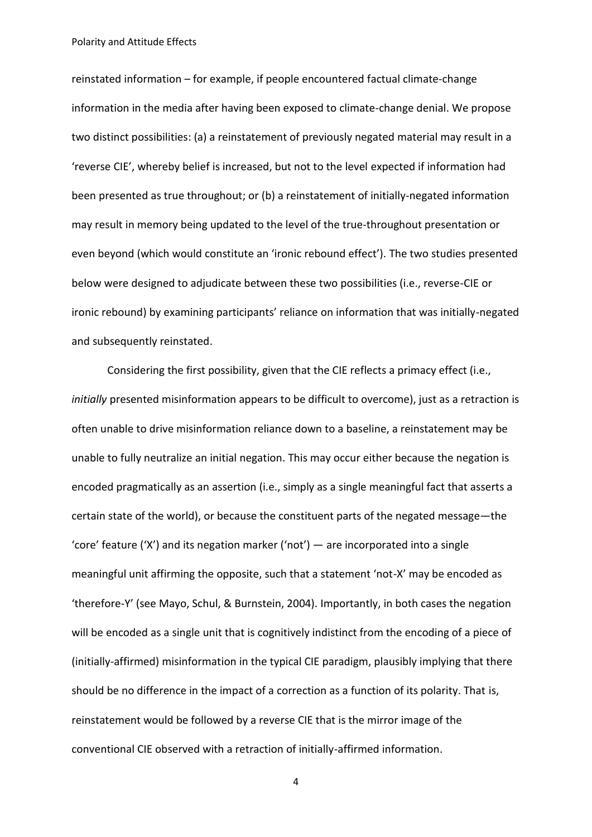reinstated information – for example, if people encountered factual climate-change information in the media after having been exposed to climate-change denial. We propose two distinct possibilities: (a) a reinstatement of previously negated material may result in a 'reverse CIE', whereby belief is increased, but not to the level expected if information had been presented as true throughout; or (b) a reinstatement of initially-negated information may result in memory being updated to the level of the true-throughout presentation or even beyond (which would constitute an 'ironic rebound effect'). The two studies presented below were designed to adjudicate between these two possibilities (i.e., reverse-CIE or ironic rebound) by examining participants' reliance on information that was initially-negated and subsequently reinstated.

Considering the first possibility, given that the CIE reflects a primacy effect (i.e., *initially* presented misinformation appears to be difficult to overcome), just as a retraction is often unable to drive misinformation reliance down to a baseline, a reinstatement may be unable to fully neutralize an initial negation. This may occur either because the negation is encoded pragmatically as an assertion (i.e., simply as a single meaningful fact that asserts a certain state of the world), or because the constituent parts of the negated message―the 'core' feature ('X') and its negation marker ('not') — are incorporated into a single meaningful unit affirming the opposite, such that a statement 'not-X' may be encoded as 'therefore-Y' (see Mayo, Schul, & Burnstein, 2004). Importantly, in both cases the negation will be encoded as a single unit that is cognitively indistinct from the encoding of a piece of (initially-affirmed) misinformation in the typical CIE paradigm, plausibly implying that there should be no difference in the impact of a correction as a function of its polarity. That is, reinstatement would be followed by a reverse CIE that is the mirror image of the conventional CIE observed with a retraction of initially-affirmed information.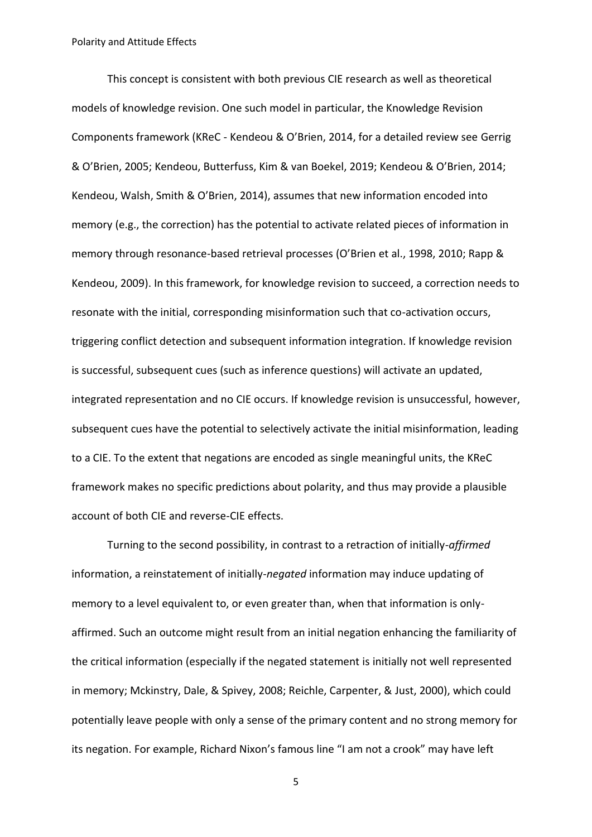This concept is consistent with both previous CIE research as well as theoretical models of knowledge revision. One such model in particular, the Knowledge Revision Components framework (KReC - Kendeou & O'Brien, 2014, for a detailed review see Gerrig & O'Brien, 2005; Kendeou, Butterfuss, Kim & van Boekel, 2019; Kendeou & O'Brien, 2014; Kendeou, Walsh, Smith & O'Brien, 2014), assumes that new information encoded into memory (e.g., the correction) has the potential to activate related pieces of information in memory through resonance-based retrieval processes (O'Brien et al., 1998, 2010; Rapp & Kendeou, 2009). In this framework, for knowledge revision to succeed, a correction needs to resonate with the initial, corresponding misinformation such that co-activation occurs, triggering conflict detection and subsequent information integration. If knowledge revision is successful, subsequent cues (such as inference questions) will activate an updated, integrated representation and no CIE occurs. If knowledge revision is unsuccessful, however, subsequent cues have the potential to selectively activate the initial misinformation, leading to a CIE. To the extent that negations are encoded as single meaningful units, the KReC framework makes no specific predictions about polarity, and thus may provide a plausible account of both CIE and reverse-CIE effects.

Turning to the second possibility, in contrast to a retraction of initially-*affirmed* information, a reinstatement of initially-*negated* information may induce updating of memory to a level equivalent to, or even greater than, when that information is onlyaffirmed. Such an outcome might result from an initial negation enhancing the familiarity of the critical information (especially if the negated statement is initially not well represented in memory; Mckinstry, Dale, & Spivey, 2008; Reichle, Carpenter, & Just, 2000), which could potentially leave people with only a sense of the primary content and no strong memory for its negation. For example, Richard Nixon's famous line "I am not a crook" may have left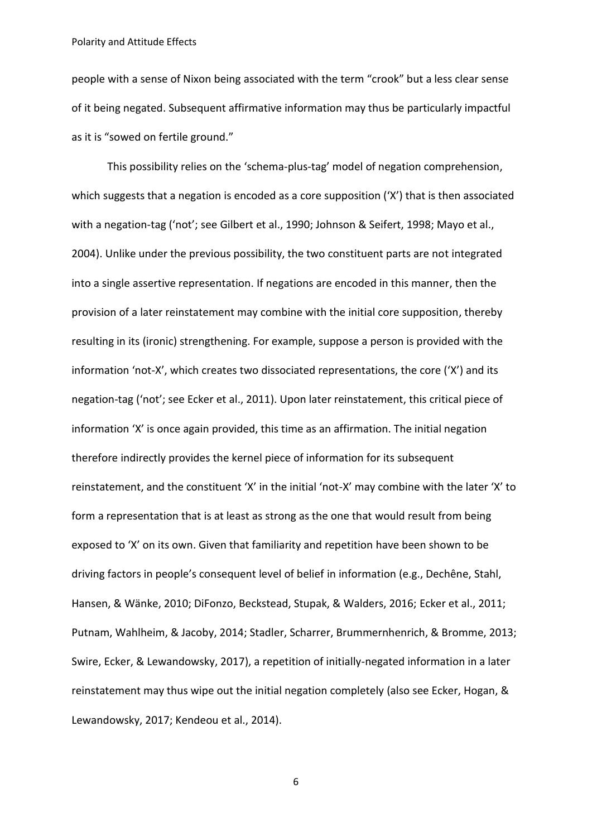people with a sense of Nixon being associated with the term "crook" but a less clear sense of it being negated. Subsequent affirmative information may thus be particularly impactful as it is "sowed on fertile ground."

This possibility relies on the 'schema-plus-tag' model of negation comprehension, which suggests that a negation is encoded as a core supposition ('X') that is then associated with a negation-tag ('not'; see Gilbert et al., 1990; Johnson & Seifert, 1998; Mayo et al., 2004). Unlike under the previous possibility, the two constituent parts are not integrated into a single assertive representation. If negations are encoded in this manner, then the provision of a later reinstatement may combine with the initial core supposition, thereby resulting in its (ironic) strengthening. For example, suppose a person is provided with the information 'not-X', which creates two dissociated representations, the core ('X') and its negation-tag ('not'; see Ecker et al., 2011). Upon later reinstatement, this critical piece of information 'X' is once again provided, this time as an affirmation. The initial negation therefore indirectly provides the kernel piece of information for its subsequent reinstatement, and the constituent 'X' in the initial 'not-X' may combine with the later 'X' to form a representation that is at least as strong as the one that would result from being exposed to 'X' on its own. Given that familiarity and repetition have been shown to be driving factors in people's consequent level of belief in information (e.g., Dechêne, Stahl, Hansen, & Wänke, 2010; DiFonzo, Beckstead, Stupak, & Walders, 2016; Ecker et al., 2011; Putnam, Wahlheim, & Jacoby, 2014; Stadler, Scharrer, Brummernhenrich, & Bromme, 2013; Swire, Ecker, & Lewandowsky, 2017), a repetition of initially-negated information in a later reinstatement may thus wipe out the initial negation completely (also see Ecker, Hogan, & Lewandowsky, 2017; Kendeou et al., 2014).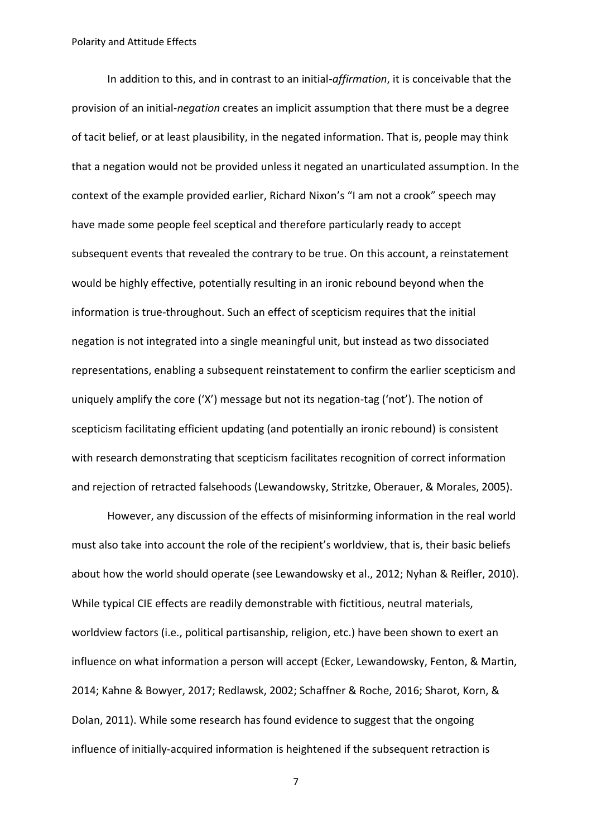In addition to this, and in contrast to an initial-*affirmation*, it is conceivable that the provision of an initial-*negation* creates an implicit assumption that there must be a degree of tacit belief, or at least plausibility, in the negated information. That is, people may think that a negation would not be provided unless it negated an unarticulated assumption. In the context of the example provided earlier, Richard Nixon's "I am not a crook" speech may have made some people feel sceptical and therefore particularly ready to accept subsequent events that revealed the contrary to be true. On this account, a reinstatement would be highly effective, potentially resulting in an ironic rebound beyond when the information is true-throughout. Such an effect of scepticism requires that the initial negation is not integrated into a single meaningful unit, but instead as two dissociated representations, enabling a subsequent reinstatement to confirm the earlier scepticism and uniquely amplify the core ('X') message but not its negation-tag ('not'). The notion of scepticism facilitating efficient updating (and potentially an ironic rebound) is consistent with research demonstrating that scepticism facilitates recognition of correct information and rejection of retracted falsehoods (Lewandowsky, Stritzke, Oberauer, & Morales, 2005).

However, any discussion of the effects of misinforming information in the real world must also take into account the role of the recipient's worldview, that is, their basic beliefs about how the world should operate (see Lewandowsky et al., 2012; Nyhan & Reifler, 2010). While typical CIE effects are readily demonstrable with fictitious, neutral materials, worldview factors (i.e., political partisanship, religion, etc.) have been shown to exert an influence on what information a person will accept (Ecker, Lewandowsky, Fenton, & Martin, 2014; Kahne & Bowyer, 2017; Redlawsk, 2002; Schaffner & Roche, 2016; Sharot, Korn, & Dolan, 2011). While some research has found evidence to suggest that the ongoing influence of initially-acquired information is heightened if the subsequent retraction is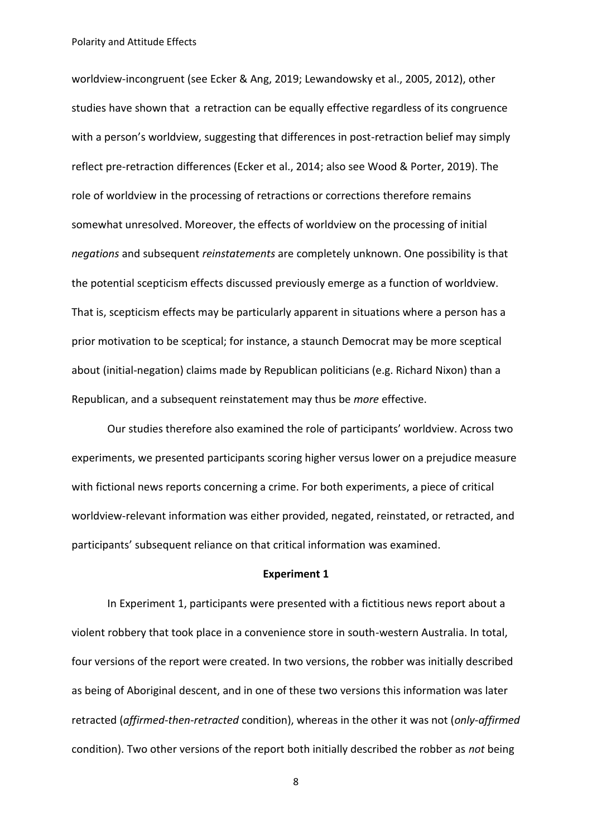worldview-incongruent (see Ecker & Ang, 2019; Lewandowsky et al., 2005, 2012), other studies have shown that a retraction can be equally effective regardless of its congruence with a person's worldview, suggesting that differences in post-retraction belief may simply reflect pre-retraction differences (Ecker et al., 2014; also see Wood & Porter, 2019). The role of worldview in the processing of retractions or corrections therefore remains somewhat unresolved. Moreover, the effects of worldview on the processing of initial *negations* and subsequent *reinstatements* are completely unknown. One possibility is that the potential scepticism effects discussed previously emerge as a function of worldview. That is, scepticism effects may be particularly apparent in situations where a person has a prior motivation to be sceptical; for instance, a staunch Democrat may be more sceptical about (initial-negation) claims made by Republican politicians (e.g. Richard Nixon) than a Republican, and a subsequent reinstatement may thus be *more* effective.

Our studies therefore also examined the role of participants' worldview. Across two experiments, we presented participants scoring higher versus lower on a prejudice measure with fictional news reports concerning a crime. For both experiments, a piece of critical worldview-relevant information was either provided, negated, reinstated, or retracted, and participants' subsequent reliance on that critical information was examined.

#### **Experiment 1**

In Experiment 1, participants were presented with a fictitious news report about a violent robbery that took place in a convenience store in south-western Australia. In total, four versions of the report were created. In two versions, the robber was initially described as being of Aboriginal descent, and in one of these two versions this information was later retracted (*affirmed-then-retracted* condition), whereas in the other it was not (*only-affirmed* condition). Two other versions of the report both initially described the robber as *not* being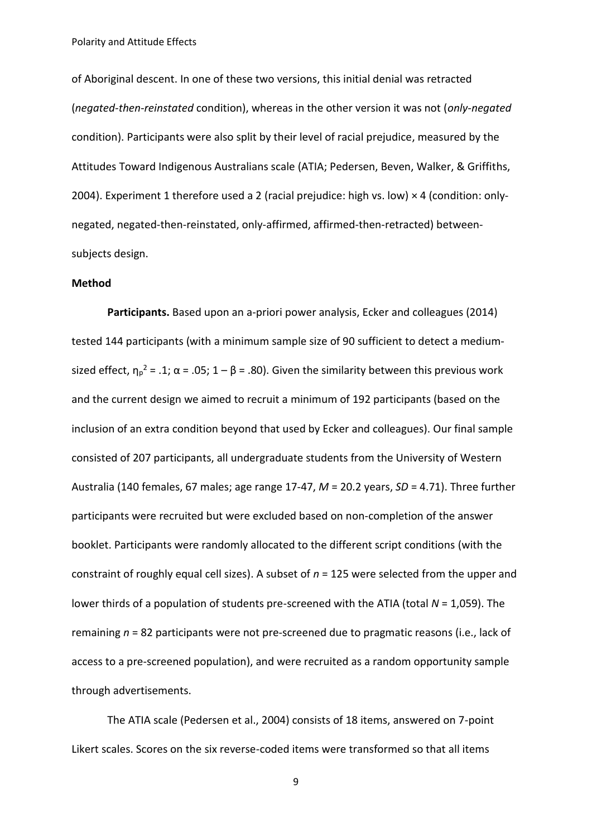of Aboriginal descent. In one of these two versions, this initial denial was retracted (*negated-then-reinstated* condition), whereas in the other version it was not (*only-negated* condition). Participants were also split by their level of racial prejudice, measured by the Attitudes Toward Indigenous Australians scale (ATIA; Pedersen, Beven, Walker, & Griffiths, 2004). Experiment 1 therefore used a 2 (racial prejudice: high vs. low) × 4 (condition: onlynegated, negated-then-reinstated, only-affirmed, affirmed-then-retracted) betweensubjects design.

#### **Method**

**Participants.** Based upon an a-priori power analysis, Ecker and colleagues (2014) tested 144 participants (with a minimum sample size of 90 sufficient to detect a mediumsized effect,  $\eta_p^2$  = .1;  $\alpha$  = .05; 1 –  $\beta$  = .80). Given the similarity between this previous work and the current design we aimed to recruit a minimum of 192 participants (based on the inclusion of an extra condition beyond that used by Ecker and colleagues). Our final sample consisted of 207 participants, all undergraduate students from the University of Western Australia (140 females, 67 males; age range 17-47, *M* = 20.2 years, *SD* = 4.71). Three further participants were recruited but were excluded based on non-completion of the answer booklet. Participants were randomly allocated to the different script conditions (with the constraint of roughly equal cell sizes). A subset of *n* = 125 were selected from the upper and lower thirds of a population of students pre-screened with the ATIA (total *N* = 1,059). The remaining *n* = 82 participants were not pre-screened due to pragmatic reasons (i.e., lack of access to a pre-screened population), and were recruited as a random opportunity sample through advertisements.

The ATIA scale (Pedersen et al., 2004) consists of 18 items, answered on 7-point Likert scales. Scores on the six reverse-coded items were transformed so that all items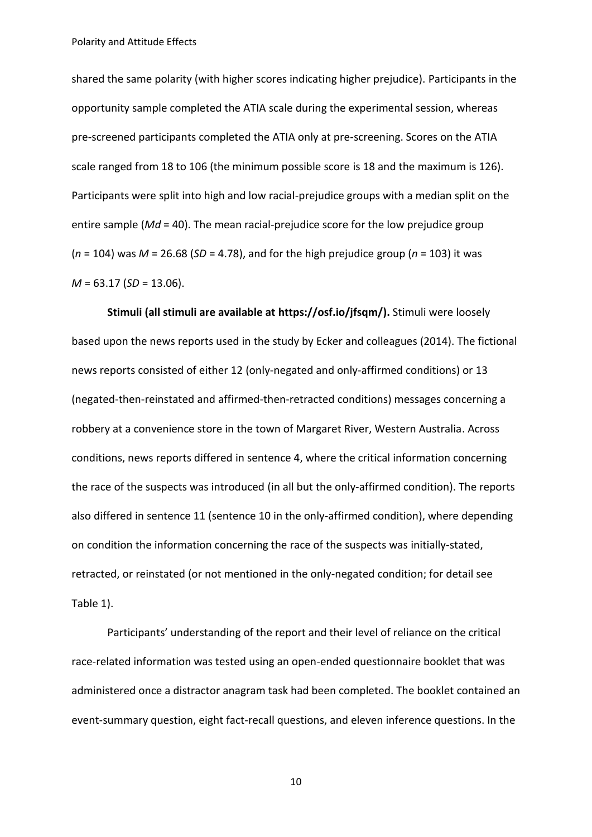shared the same polarity (with higher scores indicating higher prejudice). Participants in the opportunity sample completed the ATIA scale during the experimental session, whereas pre-screened participants completed the ATIA only at pre-screening. Scores on the ATIA scale ranged from 18 to 106 (the minimum possible score is 18 and the maximum is 126). Participants were split into high and low racial-prejudice groups with a median split on the entire sample (*Md* = 40). The mean racial-prejudice score for the low prejudice group (*n* = 104) was *M* = 26.68 (*SD* = 4.78), and for the high prejudice group (*n* = 103) it was *M* = 63.17 (*SD* = 13.06).

**Stimuli (all stimuli are available at https://osf.io/jfsqm/).** Stimuli were loosely based upon the news reports used in the study by Ecker and colleagues (2014). The fictional news reports consisted of either 12 (only-negated and only-affirmed conditions) or 13 (negated-then-reinstated and affirmed-then-retracted conditions) messages concerning a robbery at a convenience store in the town of Margaret River, Western Australia. Across conditions, news reports differed in sentence 4, where the critical information concerning the race of the suspects was introduced (in all but the only-affirmed condition). The reports also differed in sentence 11 (sentence 10 in the only-affirmed condition), where depending on condition the information concerning the race of the suspects was initially-stated, retracted, or reinstated (or not mentioned in the only-negated condition; for detail see Table 1).

Participants' understanding of the report and their level of reliance on the critical race-related information was tested using an open-ended questionnaire booklet that was administered once a distractor anagram task had been completed. The booklet contained an event-summary question, eight fact-recall questions, and eleven inference questions. In the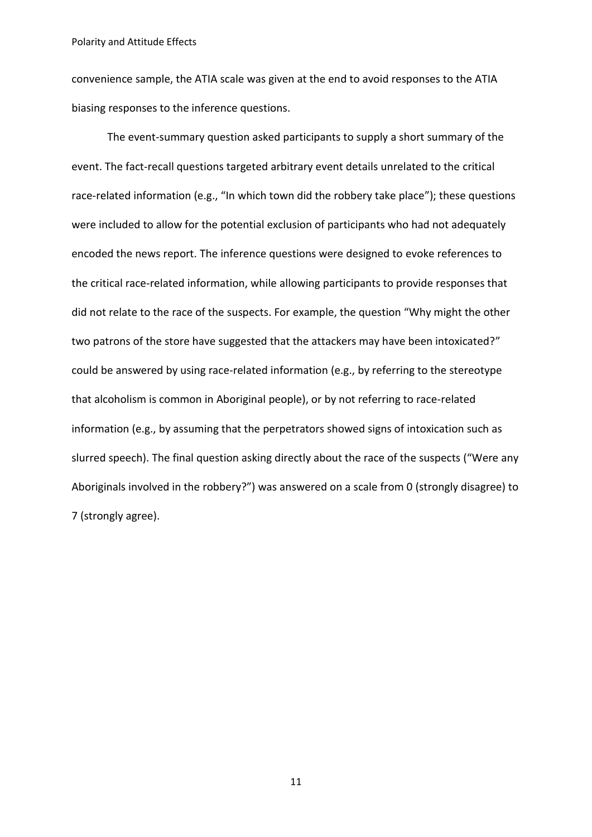convenience sample, the ATIA scale was given at the end to avoid responses to the ATIA biasing responses to the inference questions.

The event-summary question asked participants to supply a short summary of the event. The fact-recall questions targeted arbitrary event details unrelated to the critical race-related information (e.g., "In which town did the robbery take place"); these questions were included to allow for the potential exclusion of participants who had not adequately encoded the news report. The inference questions were designed to evoke references to the critical race-related information, while allowing participants to provide responses that did not relate to the race of the suspects. For example, the question "Why might the other two patrons of the store have suggested that the attackers may have been intoxicated?" could be answered by using race-related information (e.g., by referring to the stereotype that alcoholism is common in Aboriginal people), or by not referring to race-related information (e.g., by assuming that the perpetrators showed signs of intoxication such as slurred speech). The final question asking directly about the race of the suspects ("Were any Aboriginals involved in the robbery?") was answered on a scale from 0 (strongly disagree) to 7 (strongly agree).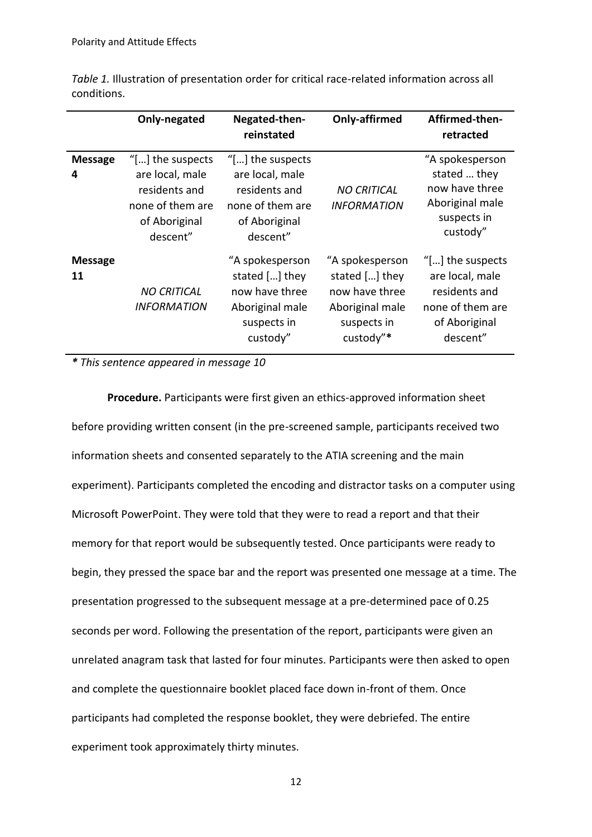|                      | Only-negated                                                                                                    | Negated-then-<br>reinstated                                                                              | Only-affirmed                                                                                      | Affirmed-then-<br>retracted                                                                                     |
|----------------------|-----------------------------------------------------------------------------------------------------------------|----------------------------------------------------------------------------------------------------------|----------------------------------------------------------------------------------------------------|-----------------------------------------------------------------------------------------------------------------|
| <b>Message</b><br>4  | "[ $\ldots$ ] the suspects<br>are local, male<br>residents and<br>none of them are<br>of Aboriginal<br>descent" | " $[]$ the suspects<br>are local, male<br>residents and<br>none of them are<br>of Aboriginal<br>descent" | <b>NO CRITICAL</b><br><b>INFORMATION</b>                                                           | "A spokesperson<br>stated  they<br>now have three<br>Aboriginal male<br>suspects in<br>custody"                 |
| <b>Message</b><br>11 | <b>NO CRITICAL</b><br><b>INFORMATION</b>                                                                        | "A spokesperson<br>stated [] they<br>now have three<br>Aboriginal male<br>suspects in<br>custody"        | "A spokesperson<br>stated [] they<br>now have three<br>Aboriginal male<br>suspects in<br>custody"* | "[ $\ldots$ ] the suspects<br>are local, male<br>residents and<br>none of them are<br>of Aboriginal<br>descent" |

*Table 1.* Illustration of presentation order for critical race-related information across all conditions.

*\* This sentence appeared in message 10*

**Procedure.** Participants were first given an ethics-approved information sheet before providing written consent (in the pre-screened sample, participants received two information sheets and consented separately to the ATIA screening and the main experiment). Participants completed the encoding and distractor tasks on a computer using Microsoft PowerPoint. They were told that they were to read a report and that their memory for that report would be subsequently tested. Once participants were ready to begin, they pressed the space bar and the report was presented one message at a time. The presentation progressed to the subsequent message at a pre-determined pace of 0.25 seconds per word. Following the presentation of the report, participants were given an unrelated anagram task that lasted for four minutes. Participants were then asked to open and complete the questionnaire booklet placed face down in-front of them. Once participants had completed the response booklet, they were debriefed. The entire experiment took approximately thirty minutes.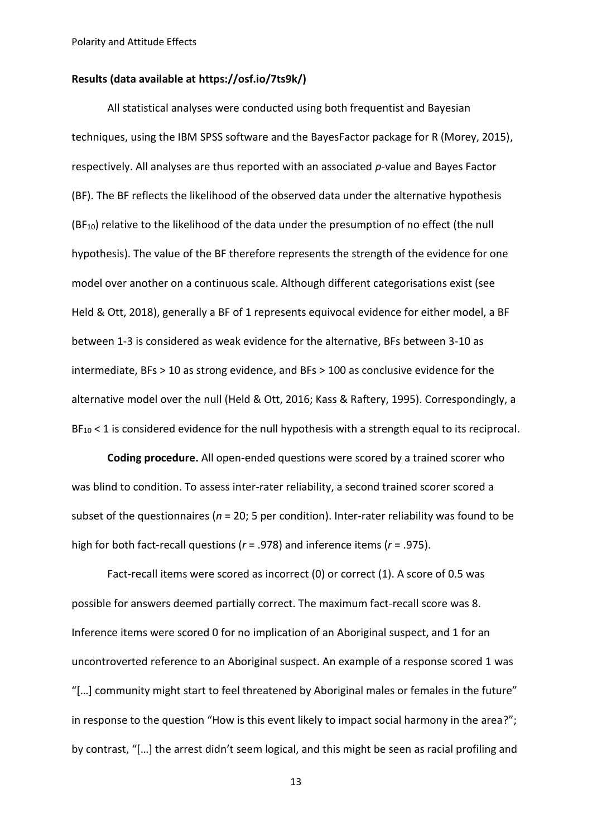## **Results (data available at https://osf.io/7ts9k/)**

All statistical analyses were conducted using both frequentist and Bayesian techniques, using the IBM SPSS software and the BayesFactor package for R (Morey, 2015), respectively. All analyses are thus reported with an associated *p*-value and Bayes Factor (BF). The BF reflects the likelihood of the observed data under the alternative hypothesis  $(BF_{10})$  relative to the likelihood of the data under the presumption of no effect (the null hypothesis). The value of the BF therefore represents the strength of the evidence for one model over another on a continuous scale. Although different categorisations exist (see Held & Ott, 2018), generally a BF of 1 represents equivocal evidence for either model, a BF between 1-3 is considered as weak evidence for the alternative, BFs between 3-10 as intermediate, BFs > 10 as strong evidence, and BFs > 100 as conclusive evidence for the alternative model over the null (Held & Ott, 2016; Kass & Raftery, 1995). Correspondingly, a BF<sub>10</sub> < 1 is considered evidence for the null hypothesis with a strength equal to its reciprocal.

**Coding procedure.** All open-ended questions were scored by a trained scorer who was blind to condition. To assess inter-rater reliability, a second trained scorer scored a subset of the questionnaires (*n* = 20; 5 per condition). Inter-rater reliability was found to be high for both fact-recall questions (*r* = .978) and inference items (*r* = .975).

Fact-recall items were scored as incorrect (0) or correct (1). A score of 0.5 was possible for answers deemed partially correct. The maximum fact-recall score was 8. Inference items were scored 0 for no implication of an Aboriginal suspect, and 1 for an uncontroverted reference to an Aboriginal suspect. An example of a response scored 1 was "[…] community might start to feel threatened by Aboriginal males or females in the future" in response to the question "How is this event likely to impact social harmony in the area?"; by contrast, "[…] the arrest didn't seem logical, and this might be seen as racial profiling and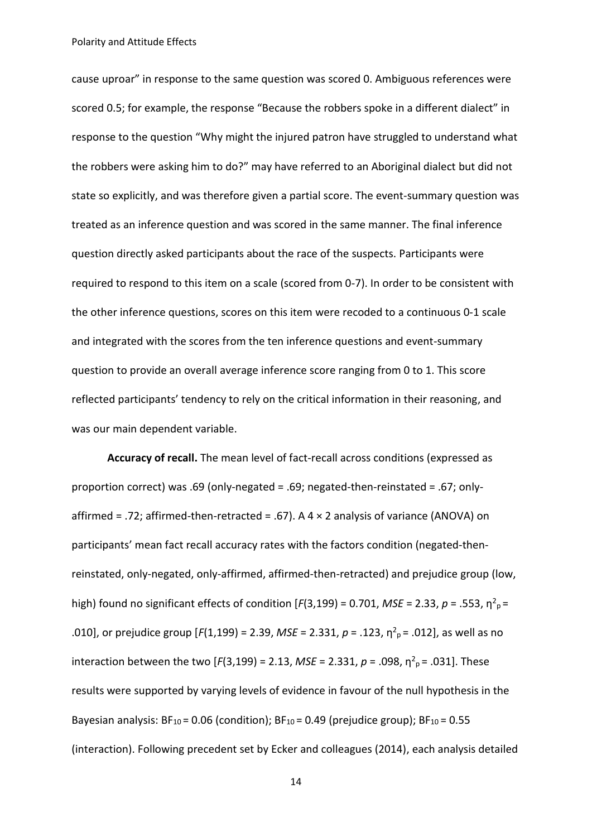cause uproar" in response to the same question was scored 0. Ambiguous references were scored 0.5; for example, the response "Because the robbers spoke in a different dialect" in response to the question "Why might the injured patron have struggled to understand what the robbers were asking him to do?" may have referred to an Aboriginal dialect but did not state so explicitly, and was therefore given a partial score. The event-summary question was treated as an inference question and was scored in the same manner. The final inference question directly asked participants about the race of the suspects. Participants were required to respond to this item on a scale (scored from 0-7). In order to be consistent with the other inference questions, scores on this item were recoded to a continuous 0-1 scale and integrated with the scores from the ten inference questions and event-summary question to provide an overall average inference score ranging from 0 to 1. This score reflected participants' tendency to rely on the critical information in their reasoning, and was our main dependent variable.

**Accuracy of recall.** The mean level of fact-recall across conditions (expressed as proportion correct) was .69 (only-negated = .69; negated-then-reinstated = .67; onlyaffirmed = .72; affirmed-then-retracted = .67). A  $4 \times 2$  analysis of variance (ANOVA) on participants' mean fact recall accuracy rates with the factors condition (negated-thenreinstated, only-negated, only-affirmed, affirmed-then-retracted) and prejudice group (low, high) found no significant effects of condition [ $F(3,199) = 0.701$ , *MSE* = 2.33,  $p = .553$ ,  $\eta^2$ <sub>p</sub> = .010], or prejudice group [ $F(1,199) = 2.39$ , *MSE* = 2.331,  $p = .123$ ,  $\eta^2{}_{p} = .012$ ], as well as no interaction between the two [ $F(3,199) = 2.13$ ,  $MSE = 2.331$ ,  $p = .098$ ,  $\eta^2$ <sub>p</sub>= .031]. These results were supported by varying levels of evidence in favour of the null hypothesis in the Bayesian analysis:  $BF_{10} = 0.06$  (condition);  $BF_{10} = 0.49$  (prejudice group);  $BF_{10} = 0.55$ (interaction). Following precedent set by Ecker and colleagues (2014), each analysis detailed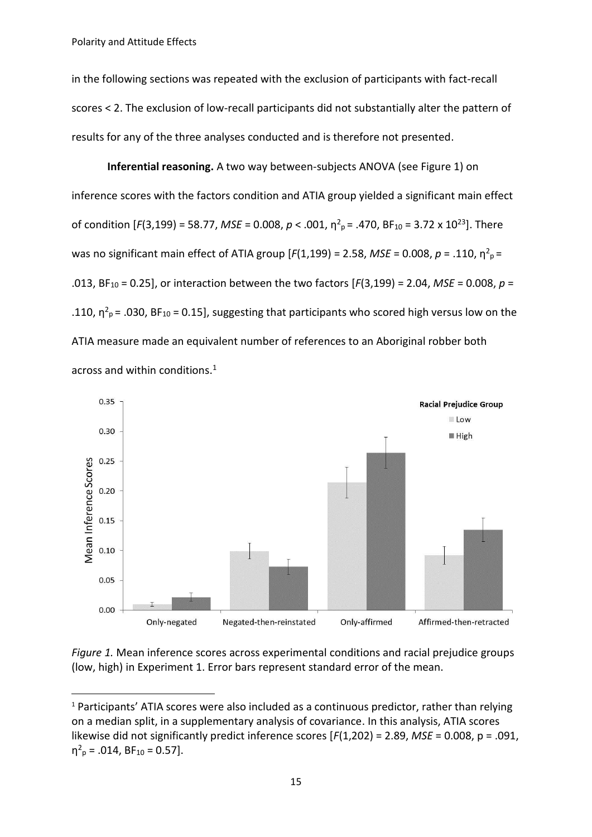**.** 

in the following sections was repeated with the exclusion of participants with fact-recall scores < 2. The exclusion of low-recall participants did not substantially alter the pattern of results for any of the three analyses conducted and is therefore not presented.

**Inferential reasoning.** A two way between-subjects ANOVA (see Figure 1) on inference scores with the factors condition and ATIA group yielded a significant main effect of condition  $[F(3,199) = 58.77$ , *MSE* = 0.008,  $p < .001$ ,  $\eta^2$ <sub>p</sub> = .470, BF<sub>10</sub> = 3.72 x 10<sup>23</sup>]. There was no significant main effect of ATIA group [ $F(1,199) = 2.58$ , *MSE* = 0.008,  $p = .110$ ,  $\eta^2 p =$ .013, BF<sup>10</sup> = 0.25], or interaction between the two factors [*F*(3,199) = 2.04, *MSE* = 0.008, *p* = .110,  $\eta^2$ <sub>p</sub> = .030, BF<sub>10</sub> = 0.15], suggesting that participants who scored high versus low on the ATIA measure made an equivalent number of references to an Aboriginal robber both across and within conditions. 1



*Figure 1.* Mean inference scores across experimental conditions and racial prejudice groups (low, high) in Experiment 1. Error bars represent standard error of the mean.

 $1$  Participants' ATIA scores were also included as a continuous predictor, rather than relying on a median split, in a supplementary analysis of covariance. In this analysis, ATIA scores likewise did not significantly predict inference scores [*F*(1,202) = 2.89, *MSE* = 0.008, p = .091,  $\eta^2$ <sub>p</sub> = .014, BF<sub>10</sub> = 0.57].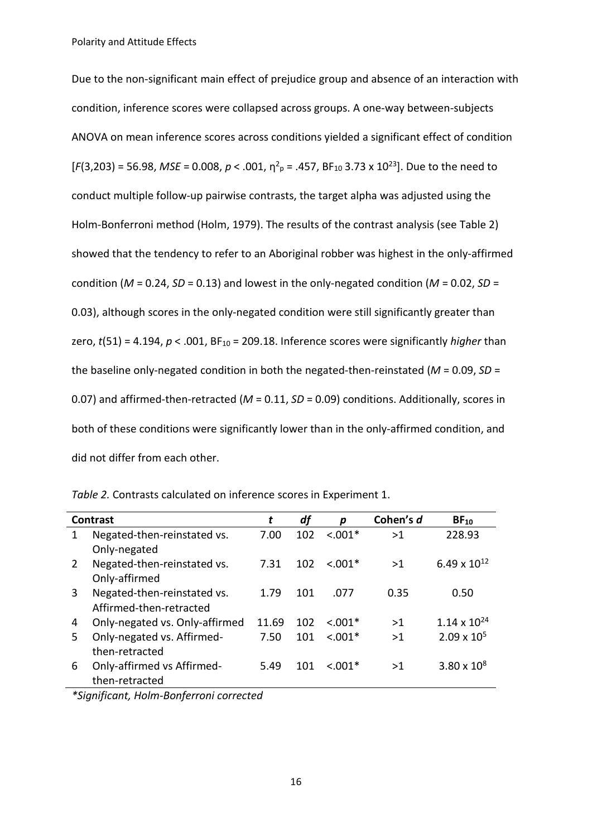Due to the non-significant main effect of prejudice group and absence of an interaction with condition, inference scores were collapsed across groups. A one-way between-subjects ANOVA on mean inference scores across conditions yielded a significant effect of condition  $[F(3,203) = 56.98$ , *MSE* = 0.008,  $p < .001$ ,  $\eta^2$ <sub>p</sub> = .457, BF<sub>10</sub> 3.73 x 10<sup>23</sup>]. Due to the need to conduct multiple follow-up pairwise contrasts, the target alpha was adjusted using the Holm-Bonferroni method (Holm, 1979). The results of the contrast analysis (see Table 2) showed that the tendency to refer to an Aboriginal robber was highest in the only-affirmed condition (*M* = 0.24, *SD* = 0.13) and lowest in the only-negated condition (*M* = 0.02, *SD* = 0.03), although scores in the only-negated condition were still significantly greater than zero,  $t(51) = 4.194$ ,  $p < .001$ ,  $BF_{10} = 209.18$ . Inference scores were significantly *higher* than the baseline only-negated condition in both the negated-then-reinstated (*M* = 0.09, *SD* = 0.07) and affirmed-then-retracted (*M* = 0.11, *SD* = 0.09) conditions. Additionally, scores in both of these conditions were significantly lower than in the only-affirmed condition, and did not differ from each other.

| <b>Contrast</b> |                                | t     | df  | p          | Cohen's d | $BF_{10}$             |
|-----------------|--------------------------------|-------|-----|------------|-----------|-----------------------|
| 1               | Negated-then-reinstated vs.    | 7.00  | 102 | $< .001*$  | >1        | 228.93                |
|                 | Only-negated                   |       |     |            |           |                       |
| 2               | Negated-then-reinstated vs.    | 7.31  | 102 | $< 0.01*$  | >1        | 6.49 x $10^{12}$      |
|                 | Only-affirmed                  |       |     |            |           |                       |
| 3               | Negated-then-reinstated vs.    | 1.79  | 101 | .077       | 0.35      | 0.50                  |
|                 | Affirmed-then-retracted        |       |     |            |           |                       |
| 4               | Only-negated vs. Only-affirmed | 11.69 | 102 | $< 0.001*$ | >1        | $1.14 \times 10^{24}$ |
| 5.              | Only-negated vs. Affirmed-     | 7.50  | 101 | $< 0.01*$  | >1        | $2.09 \times 10^{5}$  |
|                 | then-retracted                 |       |     |            |           |                       |
| 6               | Only-affirmed vs Affirmed-     | 5.49  | 101 | $< 0.01*$  | >1        | $3.80 \times 10^8$    |
|                 | then-retracted                 |       |     |            |           |                       |
|                 |                                |       |     |            |           |                       |

*Table 2.* Contrasts calculated on inference scores in Experiment 1.

*\*Significant, Holm-Bonferroni corrected*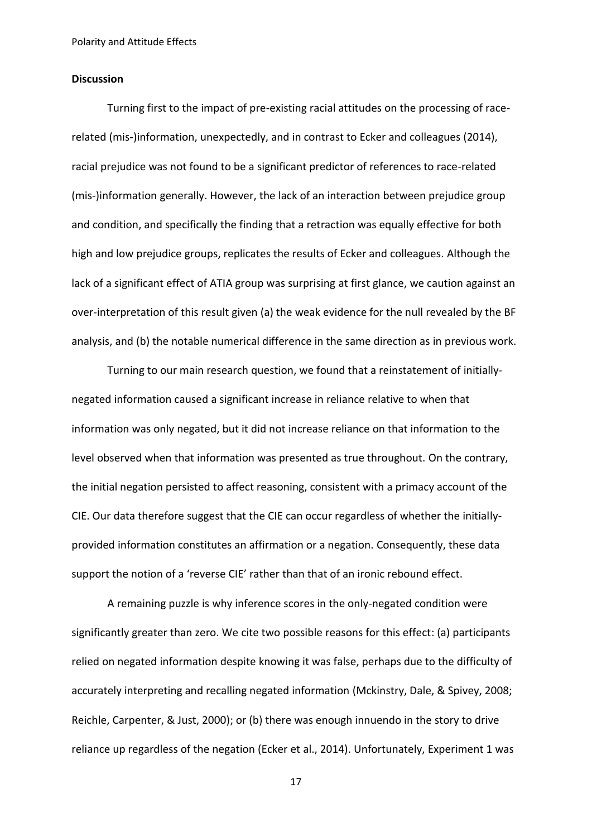## **Discussion**

Turning first to the impact of pre-existing racial attitudes on the processing of racerelated (mis-)information, unexpectedly, and in contrast to Ecker and colleagues (2014), racial prejudice was not found to be a significant predictor of references to race-related (mis-)information generally. However, the lack of an interaction between prejudice group and condition, and specifically the finding that a retraction was equally effective for both high and low prejudice groups, replicates the results of Ecker and colleagues. Although the lack of a significant effect of ATIA group was surprising at first glance, we caution against an over-interpretation of this result given (a) the weak evidence for the null revealed by the BF analysis, and (b) the notable numerical difference in the same direction as in previous work.

Turning to our main research question, we found that a reinstatement of initiallynegated information caused a significant increase in reliance relative to when that information was only negated, but it did not increase reliance on that information to the level observed when that information was presented as true throughout. On the contrary, the initial negation persisted to affect reasoning, consistent with a primacy account of the CIE. Our data therefore suggest that the CIE can occur regardless of whether the initiallyprovided information constitutes an affirmation or a negation. Consequently, these data support the notion of a 'reverse CIE' rather than that of an ironic rebound effect.

A remaining puzzle is why inference scores in the only-negated condition were significantly greater than zero. We cite two possible reasons for this effect: (a) participants relied on negated information despite knowing it was false, perhaps due to the difficulty of accurately interpreting and recalling negated information (Mckinstry, Dale, & Spivey, 2008; Reichle, Carpenter, & Just, 2000); or (b) there was enough innuendo in the story to drive reliance up regardless of the negation (Ecker et al., 2014). Unfortunately, Experiment 1 was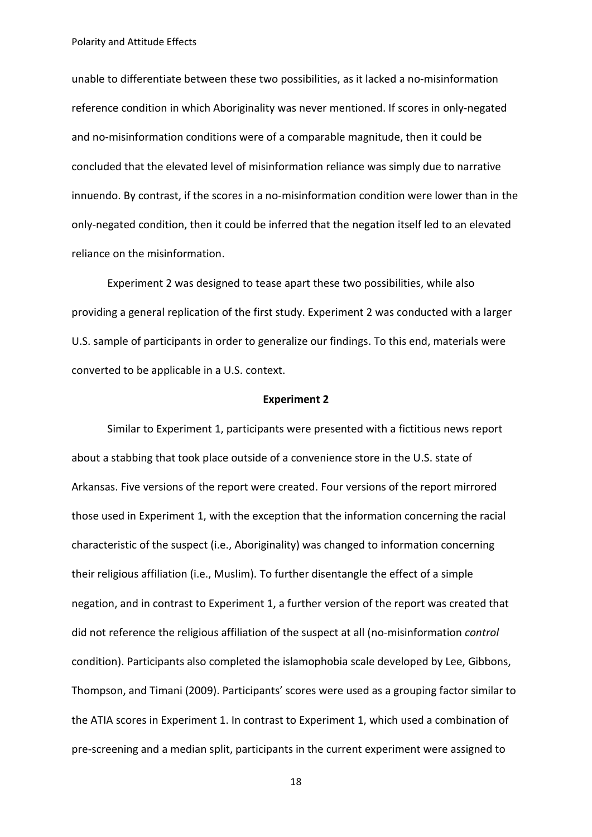unable to differentiate between these two possibilities, as it lacked a no-misinformation reference condition in which Aboriginality was never mentioned. If scores in only-negated and no-misinformation conditions were of a comparable magnitude, then it could be concluded that the elevated level of misinformation reliance was simply due to narrative innuendo. By contrast, if the scores in a no-misinformation condition were lower than in the only-negated condition, then it could be inferred that the negation itself led to an elevated reliance on the misinformation.

Experiment 2 was designed to tease apart these two possibilities, while also providing a general replication of the first study. Experiment 2 was conducted with a larger U.S. sample of participants in order to generalize our findings. To this end, materials were converted to be applicable in a U.S. context.

### **Experiment 2**

Similar to Experiment 1, participants were presented with a fictitious news report about a stabbing that took place outside of a convenience store in the U.S. state of Arkansas. Five versions of the report were created. Four versions of the report mirrored those used in Experiment 1, with the exception that the information concerning the racial characteristic of the suspect (i.e., Aboriginality) was changed to information concerning their religious affiliation (i.e., Muslim). To further disentangle the effect of a simple negation, and in contrast to Experiment 1, a further version of the report was created that did not reference the religious affiliation of the suspect at all (no-misinformation *control* condition). Participants also completed the islamophobia scale developed by Lee, Gibbons, Thompson, and Timani (2009). Participants' scores were used as a grouping factor similar to the ATIA scores in Experiment 1. In contrast to Experiment 1, which used a combination of pre-screening and a median split, participants in the current experiment were assigned to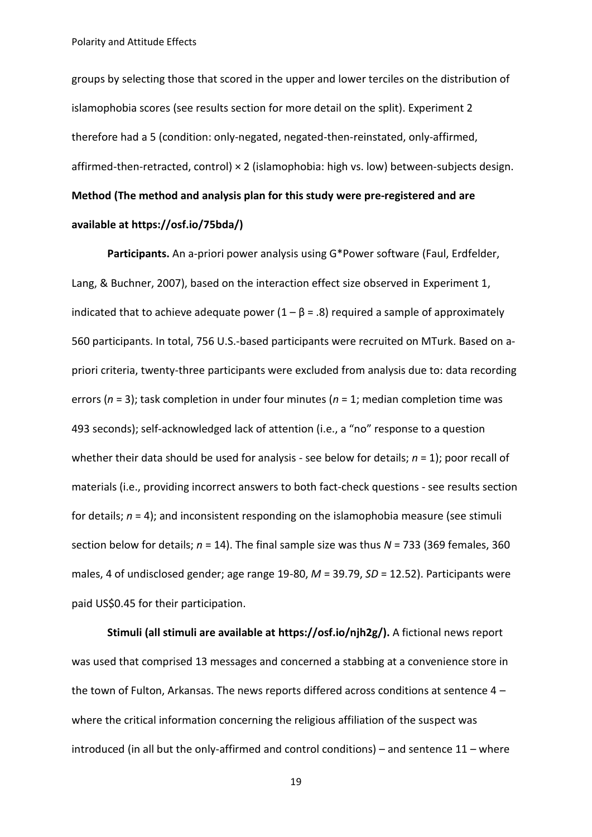groups by selecting those that scored in the upper and lower terciles on the distribution of islamophobia scores (see results section for more detail on the split). Experiment 2 therefore had a 5 (condition: only-negated, negated-then-reinstated, only-affirmed, affirmed-then-retracted, control) × 2 (islamophobia: high vs. low) between-subjects design. **Method (The method and analysis plan for this study were pre-registered and are available at [https://osf.io/75bda/\)](https://osf.io/75bda/)**

**Participants.** An a-priori power analysis using G\*Power software (Faul, Erdfelder, Lang, & Buchner, 2007), based on the interaction effect size observed in Experiment 1, indicated that to achieve adequate power  $(1 - \beta = .8)$  required a sample of approximately 560 participants. In total, 756 U.S.-based participants were recruited on MTurk. Based on apriori criteria, twenty-three participants were excluded from analysis due to: data recording errors (*n* = 3); task completion in under four minutes (*n* = 1; median completion time was 493 seconds); self-acknowledged lack of attention (i.e., a "no" response to a question whether their data should be used for analysis - see below for details; *n* = 1); poor recall of materials (i.e., providing incorrect answers to both fact-check questions - see results section for details; *n* = 4); and inconsistent responding on the islamophobia measure (see stimuli section below for details; *n* = 14). The final sample size was thus *N* = 733 (369 females, 360 males, 4 of undisclosed gender; age range 19-80, *M* = 39.79, *SD* = 12.52). Participants were paid US\$0.45 for their participation.

**Stimuli (all stimuli are available at [https://osf.io/njh2g/\)](https://osf.io/njh2g/).** A fictional news report was used that comprised 13 messages and concerned a stabbing at a convenience store in the town of Fulton, Arkansas. The news reports differed across conditions at sentence 4 – where the critical information concerning the religious affiliation of the suspect was introduced (in all but the only-affirmed and control conditions) – and sentence 11 – where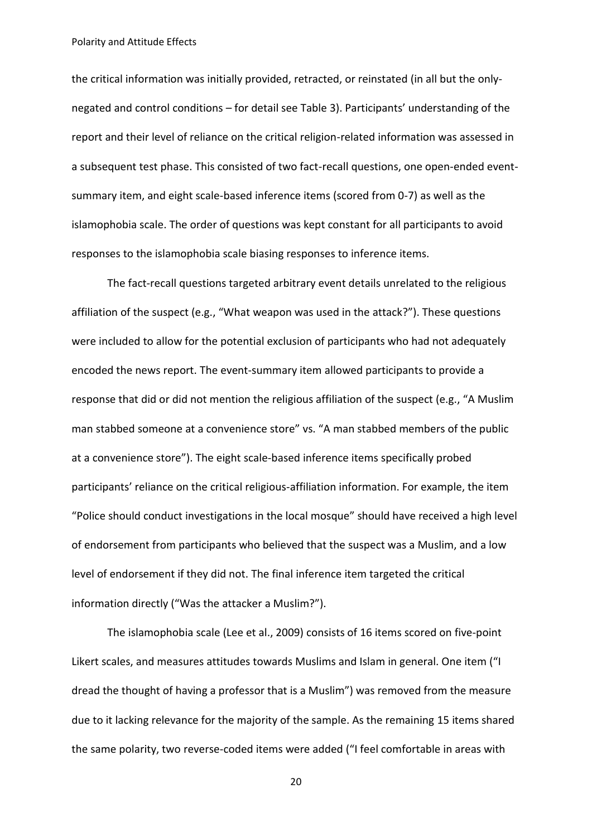the critical information was initially provided, retracted, or reinstated (in all but the onlynegated and control conditions – for detail see Table 3). Participants' understanding of the report and their level of reliance on the critical religion-related information was assessed in a subsequent test phase. This consisted of two fact-recall questions, one open-ended eventsummary item, and eight scale-based inference items (scored from 0-7) as well as the islamophobia scale. The order of questions was kept constant for all participants to avoid responses to the islamophobia scale biasing responses to inference items.

The fact-recall questions targeted arbitrary event details unrelated to the religious affiliation of the suspect (e.g., "What weapon was used in the attack?"). These questions were included to allow for the potential exclusion of participants who had not adequately encoded the news report. The event-summary item allowed participants to provide a response that did or did not mention the religious affiliation of the suspect (e.g., "A Muslim man stabbed someone at a convenience store" vs. "A man stabbed members of the public at a convenience store"). The eight scale-based inference items specifically probed participants' reliance on the critical religious-affiliation information. For example, the item "Police should conduct investigations in the local mosque" should have received a high level of endorsement from participants who believed that the suspect was a Muslim, and a low level of endorsement if they did not. The final inference item targeted the critical information directly ("Was the attacker a Muslim?").

The islamophobia scale (Lee et al., 2009) consists of 16 items scored on five-point Likert scales, and measures attitudes towards Muslims and Islam in general. One item ("I dread the thought of having a professor that is a Muslim") was removed from the measure due to it lacking relevance for the majority of the sample. As the remaining 15 items shared the same polarity, two reverse-coded items were added ("I feel comfortable in areas with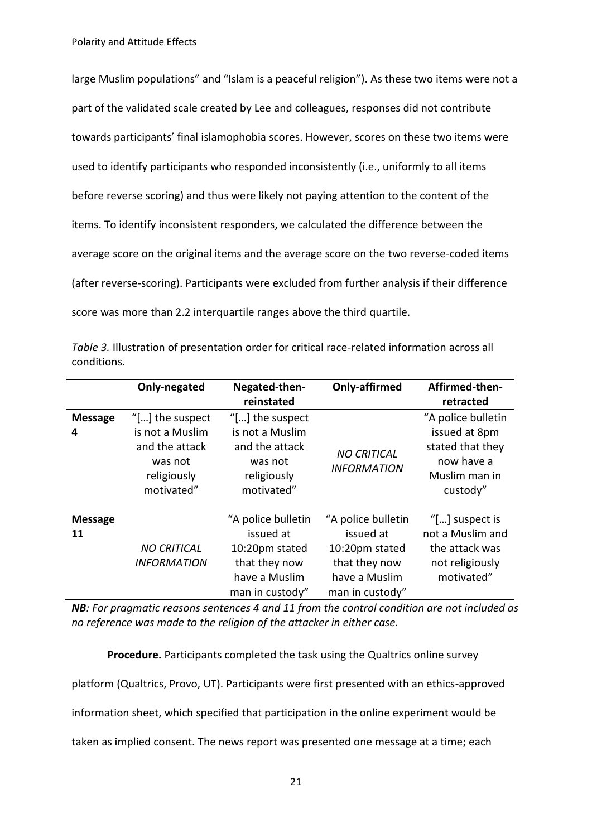large Muslim populations" and "Islam is a peaceful religion"). As these two items were not a part of the validated scale created by Lee and colleagues, responses did not contribute towards participants' final islamophobia scores. However, scores on these two items were used to identify participants who responded inconsistently (i.e., uniformly to all items before reverse scoring) and thus were likely not paying attention to the content of the items. To identify inconsistent responders, we calculated the difference between the average score on the original items and the average score on the two reverse-coded items (after reverse-scoring). Participants were excluded from further analysis if their difference score was more than 2.2 interquartile ranges above the third quartile.

|                      | Only-negated                                           | Negated-then-                                                                                          | Only-affirmed                                                                                          | Affirmed-then-                                                                                  |
|----------------------|--------------------------------------------------------|--------------------------------------------------------------------------------------------------------|--------------------------------------------------------------------------------------------------------|-------------------------------------------------------------------------------------------------|
|                      |                                                        | reinstated                                                                                             |                                                                                                        | retracted                                                                                       |
| <b>Message</b>       | "[] the suspect                                        | "[] the suspect                                                                                        |                                                                                                        | "A police bulletin                                                                              |
| 4                    | is not a Muslim                                        | is not a Muslim                                                                                        |                                                                                                        | issued at 8pm                                                                                   |
|                      | and the attack<br>was not<br>religiously<br>motivated" | and the attack<br>was not<br>religiously<br>motivated"                                                 | <b>NO CRITICAL</b><br><b>INFORMATION</b>                                                               | stated that they<br>now have a<br>Muslim man in<br>custody"                                     |
| <b>Message</b><br>11 | <b>NO CRITICAL</b><br><b>INFORMATION</b>               | "A police bulletin<br>issued at<br>10:20pm stated<br>that they now<br>have a Muslim<br>man in custody" | "A police bulletin<br>issued at<br>10:20pm stated<br>that they now<br>have a Muslim<br>man in custody" | "[ $\ldots$ ] suspect is<br>not a Muslim and<br>the attack was<br>not religiously<br>motivated" |

*Table 3.* Illustration of presentation order for critical race-related information across all conditions.

*NB: For pragmatic reasons sentences 4 and 11 from the control condition are not included as no reference was made to the religion of the attacker in either case.*

**Procedure.** Participants completed the task using the Qualtrics online survey

platform (Qualtrics, Provo, UT). Participants were first presented with an ethics-approved

information sheet, which specified that participation in the online experiment would be

taken as implied consent. The news report was presented one message at a time; each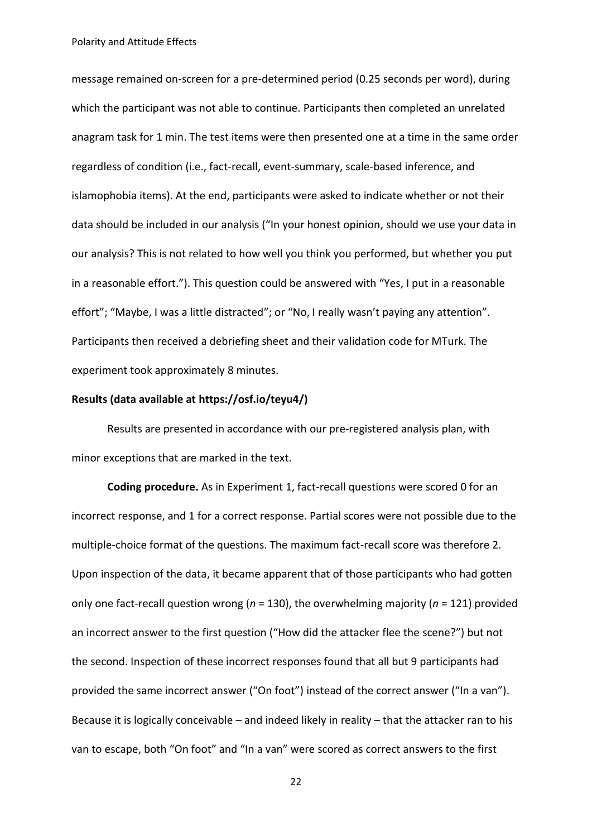message remained on-screen for a pre-determined period (0.25 seconds per word), during which the participant was not able to continue. Participants then completed an unrelated anagram task for 1 min. The test items were then presented one at a time in the same order regardless of condition (i.e., fact-recall, event-summary, scale-based inference, and islamophobia items). At the end, participants were asked to indicate whether or not their data should be included in our analysis ("In your honest opinion, should we use your data in our analysis? This is not related to how well you think you performed, but whether you put in a reasonable effort."). This question could be answered with "Yes, I put in a reasonable effort"; "Maybe, I was a little distracted"; or "No, I really wasn't paying any attention". Participants then received a debriefing sheet and their validation code for MTurk. The experiment took approximately 8 minutes.

## **Results (data available at https://osf.io/teyu4/)**

Results are presented in accordance with our pre-registered analysis plan, with minor exceptions that are marked in the text.

**Coding procedure.** As in Experiment 1, fact-recall questions were scored 0 for an incorrect response, and 1 for a correct response. Partial scores were not possible due to the multiple-choice format of the questions. The maximum fact-recall score was therefore 2. Upon inspection of the data, it became apparent that of those participants who had gotten only one fact-recall question wrong (*n* = 130), the overwhelming majority (*n* = 121) provided an incorrect answer to the first question ("How did the attacker flee the scene?") but not the second. Inspection of these incorrect responses found that all but 9 participants had provided the same incorrect answer ("On foot") instead of the correct answer ("In a van"). Because it is logically conceivable – and indeed likely in reality – that the attacker ran to his van to escape, both "On foot" and "In a van" were scored as correct answers to the first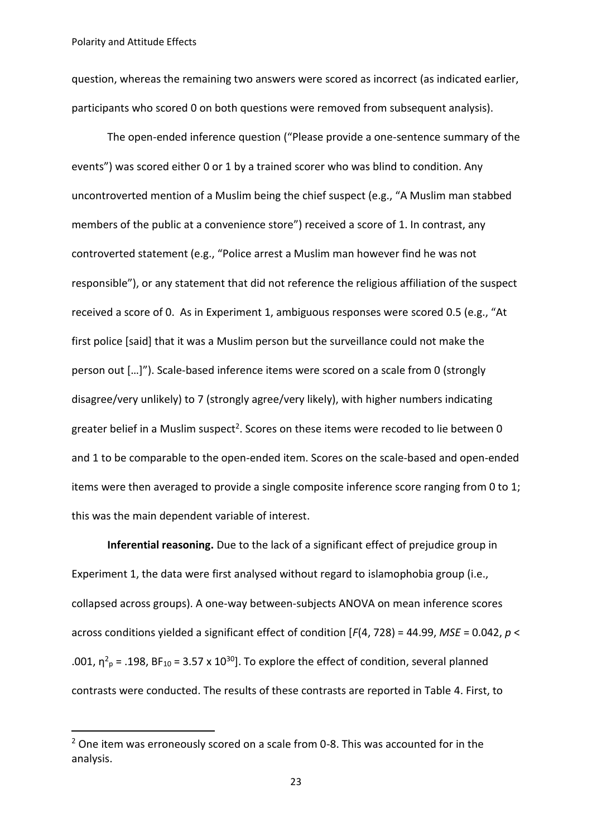1

question, whereas the remaining two answers were scored as incorrect (as indicated earlier, participants who scored 0 on both questions were removed from subsequent analysis).

The open-ended inference question ("Please provide a one-sentence summary of the events") was scored either 0 or 1 by a trained scorer who was blind to condition. Any uncontroverted mention of a Muslim being the chief suspect (e.g., "A Muslim man stabbed members of the public at a convenience store") received a score of 1. In contrast, any controverted statement (e.g., "Police arrest a Muslim man however find he was not responsible"), or any statement that did not reference the religious affiliation of the suspect received a score of 0. As in Experiment 1, ambiguous responses were scored 0.5 (e.g., "At first police [said] that it was a Muslim person but the surveillance could not make the person out […]"). Scale-based inference items were scored on a scale from 0 (strongly disagree/very unlikely) to 7 (strongly agree/very likely), with higher numbers indicating greater belief in a Muslim suspect<sup>2</sup>. Scores on these items were recoded to lie between 0 and 1 to be comparable to the open-ended item. Scores on the scale-based and open-ended items were then averaged to provide a single composite inference score ranging from 0 to 1; this was the main dependent variable of interest.

**Inferential reasoning.** Due to the lack of a significant effect of prejudice group in Experiment 1, the data were first analysed without regard to islamophobia group (i.e., collapsed across groups). A one-way between-subjects ANOVA on mean inference scores across conditions yielded a significant effect of condition [*F*(4, 728) = 44.99, *MSE* = 0.042, *p* < .001,  $\eta^2$ <sub>p</sub> = .198, BF<sub>10</sub> = 3.57 x 10<sup>30</sup>]. To explore the effect of condition, several planned contrasts were conducted. The results of these contrasts are reported in Table 4. First, to

<sup>&</sup>lt;sup>2</sup> One item was erroneously scored on a scale from 0-8. This was accounted for in the analysis.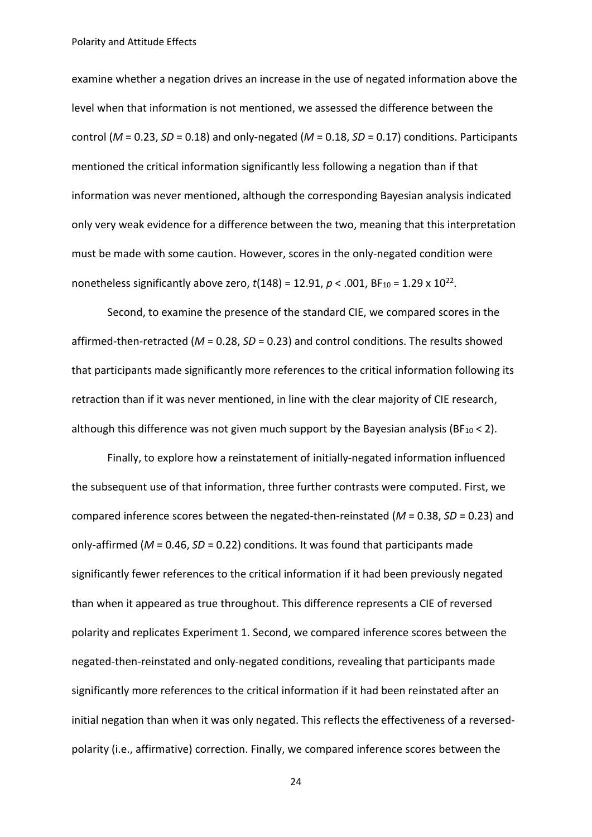examine whether a negation drives an increase in the use of negated information above the level when that information is not mentioned, we assessed the difference between the control (*M* = 0.23, *SD* = 0.18) and only-negated (*M* = 0.18, *SD* = 0.17) conditions. Participants mentioned the critical information significantly less following a negation than if that information was never mentioned, although the corresponding Bayesian analysis indicated only very weak evidence for a difference between the two, meaning that this interpretation must be made with some caution. However, scores in the only-negated condition were nonetheless significantly above zero,  $t(148) = 12.91$ ,  $p < .001$ , BF<sub>10</sub> = 1.29 x 10<sup>22</sup>.

Second, to examine the presence of the standard CIE, we compared scores in the affirmed-then-retracted (*M* = 0.28, *SD* = 0.23) and control conditions. The results showed that participants made significantly more references to the critical information following its retraction than if it was never mentioned, in line with the clear majority of CIE research, although this difference was not given much support by the Bayesian analysis (BF $_{10}$  < 2).

Finally, to explore how a reinstatement of initially-negated information influenced the subsequent use of that information, three further contrasts were computed. First, we compared inference scores between the negated-then-reinstated (*M* = 0.38, *SD* = 0.23) and only-affirmed (*M* = 0.46, *SD* = 0.22) conditions. It was found that participants made significantly fewer references to the critical information if it had been previously negated than when it appeared as true throughout. This difference represents a CIE of reversed polarity and replicates Experiment 1. Second, we compared inference scores between the negated-then-reinstated and only-negated conditions, revealing that participants made significantly more references to the critical information if it had been reinstated after an initial negation than when it was only negated. This reflects the effectiveness of a reversedpolarity (i.e., affirmative) correction. Finally, we compared inference scores between the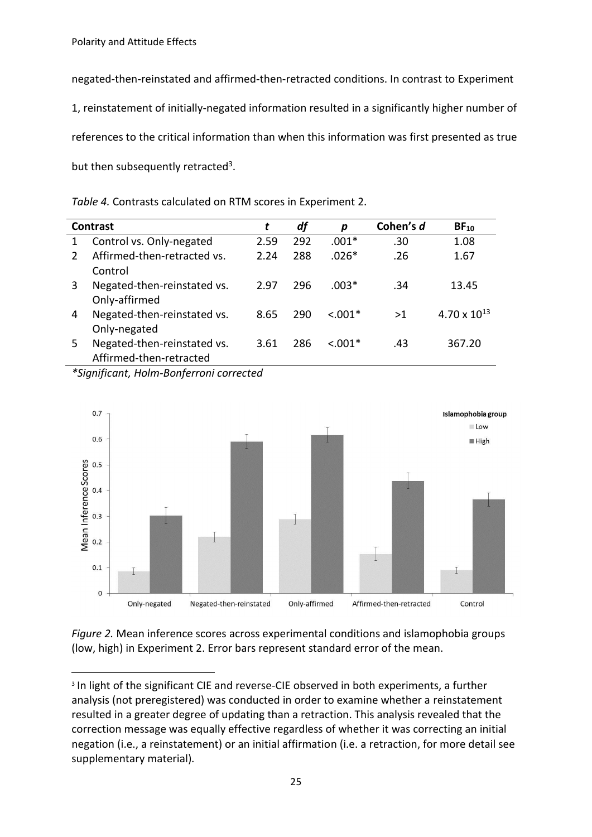negated-then-reinstated and affirmed-then-retracted conditions. In contrast to Experiment 1, reinstatement of initially-negated information resulted in a significantly higher number of references to the critical information than when this information was first presented as true but then subsequently retracted<sup>3</sup>.

*Table 4.* Contrasts calculated on RTM scores in Experiment 2.

| Contrast      |                             | t    | df  | p         | Cohen's d | $BF_{10}$             |
|---------------|-----------------------------|------|-----|-----------|-----------|-----------------------|
|               | Control vs. Only-negated    | 2.59 | 292 | $.001*$   | .30       | 1.08                  |
| $\mathcal{P}$ | Affirmed-then-retracted vs. | 2.24 | 288 | $.026*$   | .26       | 1.67                  |
|               | Control                     |      |     |           |           |                       |
| 3             | Negated-then-reinstated vs. | 2.97 | 296 | $.003*$   | .34       | 13.45                 |
|               | Only-affirmed               |      |     |           |           |                       |
| 4             | Negated-then-reinstated vs. | 8.65 | 290 | $< 0.01*$ | >1        | $4.70 \times 10^{13}$ |
|               | Only-negated                |      |     |           |           |                       |
| 5             | Negated-then-reinstated vs. | 3.61 | 286 | $< 0.01*$ | .43       | 367.20                |
|               | Affirmed-then-retracted     |      |     |           |           |                       |

*\*Significant, Holm-Bonferroni corrected*



*Figure 2.* Mean inference scores across experimental conditions and islamophobia groups (low, high) in Experiment 2. Error bars represent standard error of the mean.

**<sup>.</sup>** <sup>3</sup> In light of the significant CIE and reverse-CIE observed in both experiments, a further analysis (not preregistered) was conducted in order to examine whether a reinstatement resulted in a greater degree of updating than a retraction. This analysis revealed that the correction message was equally effective regardless of whether it was correcting an initial negation (i.e., a reinstatement) or an initial affirmation (i.e. a retraction, for more detail see supplementary material).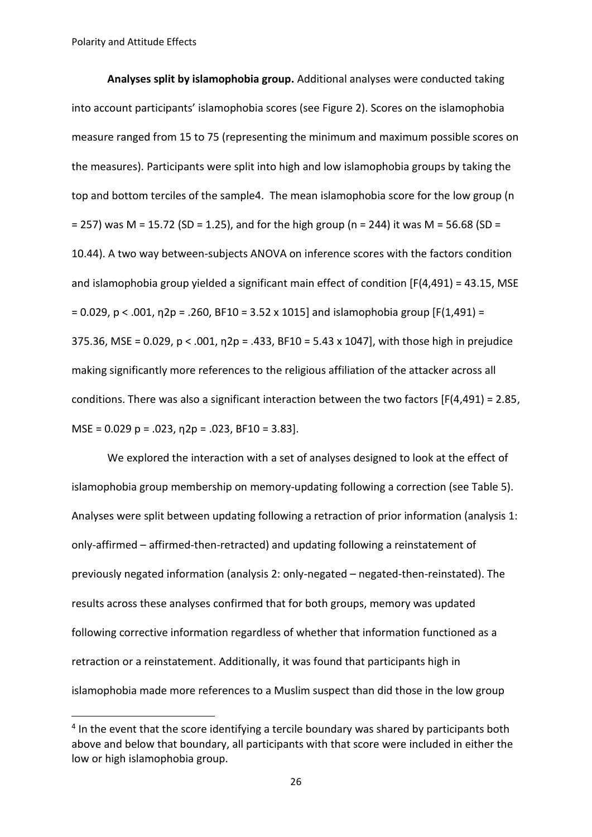1

**Analyses split by islamophobia group.** Additional analyses were conducted taking into account participants' islamophobia scores (see Figure 2). Scores on the islamophobia measure ranged from 15 to 75 (representing the minimum and maximum possible scores on the measures). Participants were split into high and low islamophobia groups by taking the top and bottom terciles of the sample4. The mean islamophobia score for the low group (n  $= 257$ ) was M = 15.72 (SD = 1.25), and for the high group (n = 244) it was M = 56.68 (SD = 10.44). A two way between-subjects ANOVA on inference scores with the factors condition and islamophobia group yielded a significant main effect of condition [F(4,491) = 43.15, MSE  $= 0.029$ , p < .001,  $\eta$ 2p = .260, BF10 = 3.52 x 1015] and islamophobia group [F(1,491) = 375.36, MSE = 0.029,  $p < .001$ ,  $p = .433$ , BF10 = 5.43 x 1047], with those high in prejudice making significantly more references to the religious affiliation of the attacker across all conditions. There was also a significant interaction between the two factors [F(4,491) = 2.85, MSE =  $0.029$  p =  $.023$ ,  $n2p = .023$ , BF10 = 3.83].

We explored the interaction with a set of analyses designed to look at the effect of islamophobia group membership on memory-updating following a correction (see Table 5). Analyses were split between updating following a retraction of prior information (analysis 1: only-affirmed – affirmed-then-retracted) and updating following a reinstatement of previously negated information (analysis 2: only-negated – negated-then-reinstated). The results across these analyses confirmed that for both groups, memory was updated following corrective information regardless of whether that information functioned as a retraction or a reinstatement. Additionally, it was found that participants high in islamophobia made more references to a Muslim suspect than did those in the low group

<sup>&</sup>lt;sup>4</sup> In the event that the score identifying a tercile boundary was shared by participants both above and below that boundary, all participants with that score were included in either the low or high islamophobia group.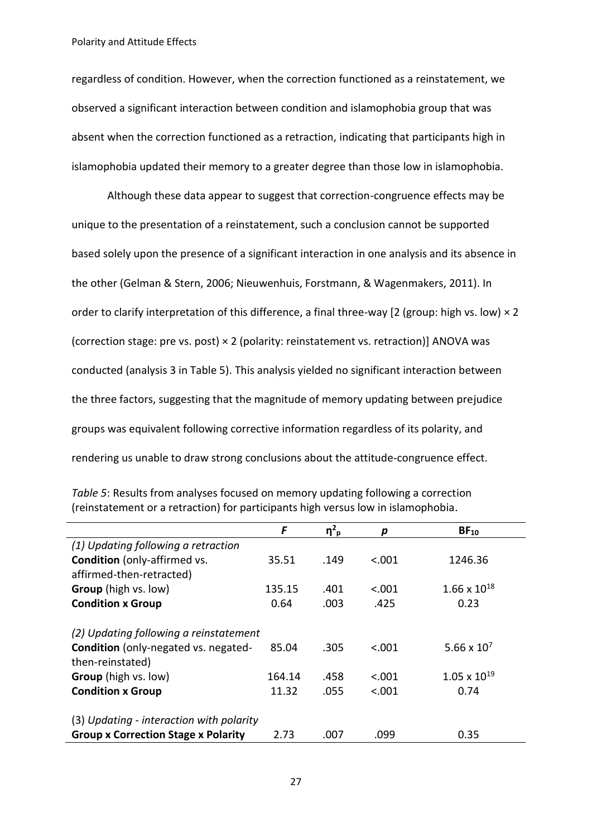regardless of condition. However, when the correction functioned as a reinstatement, we observed a significant interaction between condition and islamophobia group that was absent when the correction functioned as a retraction, indicating that participants high in islamophobia updated their memory to a greater degree than those low in islamophobia.

Although these data appear to suggest that correction-congruence effects may be unique to the presentation of a reinstatement, such a conclusion cannot be supported based solely upon the presence of a significant interaction in one analysis and its absence in the other (Gelman & Stern, 2006; Nieuwenhuis, Forstmann, & Wagenmakers, 2011). In order to clarify interpretation of this difference, a final three-way [2 (group: high vs. low) × 2 (correction stage: pre vs. post) × 2 (polarity: reinstatement vs. retraction)] ANOVA was conducted (analysis 3 in Table 5). This analysis yielded no significant interaction between the three factors, suggesting that the magnitude of memory updating between prejudice groups was equivalent following corrective information regardless of its polarity, and rendering us unable to draw strong conclusions about the attitude-congruence effect.

| Table 5: Results from analyses focused on memory updating following a correction  |
|-----------------------------------------------------------------------------------|
| (reinstatement or a retraction) for participants high versus low in islamophobia. |

|                                            | F      | $\eta^2$ <sub>p</sub> | р       | $BF_{10}$                     |  |  |
|--------------------------------------------|--------|-----------------------|---------|-------------------------------|--|--|
| (1) Updating following a retraction        |        |                       |         |                               |  |  |
| <b>Condition</b> (only-affirmed vs.        | 35.51  | .149                  | < .001  | 1246.36                       |  |  |
| affirmed-then-retracted)                   |        |                       |         |                               |  |  |
| Group (high vs. low)                       | 135.15 | .401                  | < .001  | $1.66 \times 10^{18}$         |  |  |
| <b>Condition x Group</b>                   | 0.64   | .003                  | .425    | 0.23                          |  |  |
|                                            |        |                       |         |                               |  |  |
| (2) Updating following a reinstatement     |        |                       |         |                               |  |  |
| Condition (only-negated vs. negated-       | 85.04  | .305                  | < .001  | 5.66 $\times$ 10 <sup>7</sup> |  |  |
| then-reinstated)                           |        |                       |         |                               |  |  |
| <b>Group</b> (high vs. low)                | 164.14 | .458                  | < .001  | $1.05 \times 10^{19}$         |  |  |
| <b>Condition x Group</b>                   | 11.32  | .055                  | < 0.001 | 0.74                          |  |  |
| (3) Updating - interaction with polarity   |        |                       |         |                               |  |  |
| <b>Group x Correction Stage x Polarity</b> | 2.73   | .007                  | .099    | 0.35                          |  |  |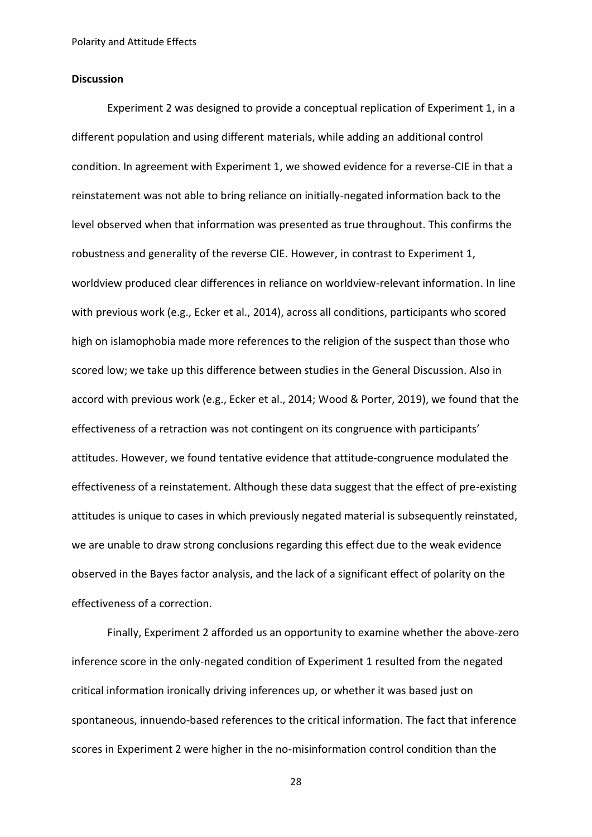## **Discussion**

Experiment 2 was designed to provide a conceptual replication of Experiment 1, in a different population and using different materials, while adding an additional control condition. In agreement with Experiment 1, we showed evidence for a reverse-CIE in that a reinstatement was not able to bring reliance on initially-negated information back to the level observed when that information was presented as true throughout. This confirms the robustness and generality of the reverse CIE. However, in contrast to Experiment 1, worldview produced clear differences in reliance on worldview-relevant information. In line with previous work (e.g., Ecker et al., 2014), across all conditions, participants who scored high on islamophobia made more references to the religion of the suspect than those who scored low; we take up this difference between studies in the General Discussion. Also in accord with previous work (e.g., Ecker et al., 2014; Wood & Porter, 2019), we found that the effectiveness of a retraction was not contingent on its congruence with participants' attitudes. However, we found tentative evidence that attitude-congruence modulated the effectiveness of a reinstatement. Although these data suggest that the effect of pre-existing attitudes is unique to cases in which previously negated material is subsequently reinstated, we are unable to draw strong conclusions regarding this effect due to the weak evidence observed in the Bayes factor analysis, and the lack of a significant effect of polarity on the effectiveness of a correction.

Finally, Experiment 2 afforded us an opportunity to examine whether the above-zero inference score in the only-negated condition of Experiment 1 resulted from the negated critical information ironically driving inferences up, or whether it was based just on spontaneous, innuendo-based references to the critical information. The fact that inference scores in Experiment 2 were higher in the no-misinformation control condition than the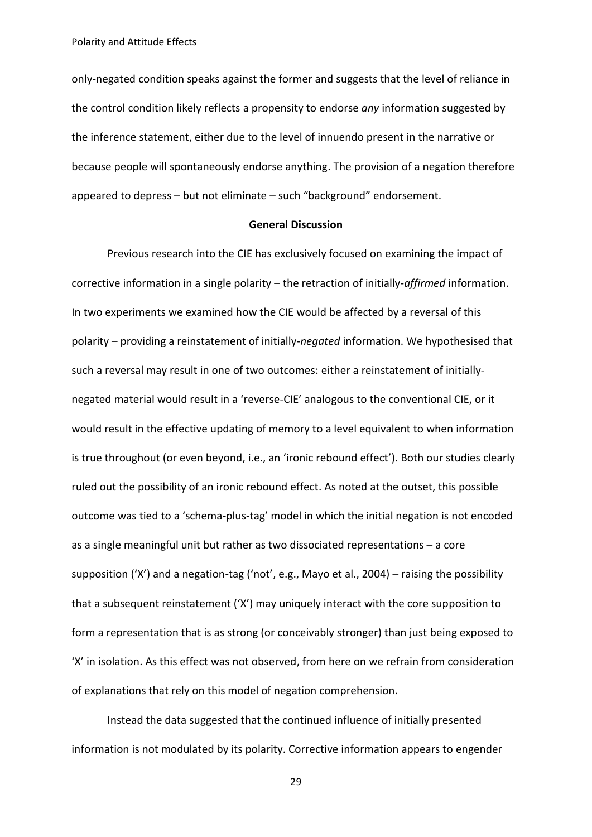only-negated condition speaks against the former and suggests that the level of reliance in the control condition likely reflects a propensity to endorse *any* information suggested by the inference statement, either due to the level of innuendo present in the narrative or because people will spontaneously endorse anything. The provision of a negation therefore appeared to depress – but not eliminate – such "background" endorsement.

# **General Discussion**

Previous research into the CIE has exclusively focused on examining the impact of corrective information in a single polarity – the retraction of initially-*affirmed* information. In two experiments we examined how the CIE would be affected by a reversal of this polarity – providing a reinstatement of initially-*negated* information. We hypothesised that such a reversal may result in one of two outcomes: either a reinstatement of initiallynegated material would result in a 'reverse-CIE' analogous to the conventional CIE, or it would result in the effective updating of memory to a level equivalent to when information is true throughout (or even beyond, i.e., an 'ironic rebound effect'). Both our studies clearly ruled out the possibility of an ironic rebound effect. As noted at the outset, this possible outcome was tied to a 'schema-plus-tag' model in which the initial negation is not encoded as a single meaningful unit but rather as two dissociated representations – a core supposition ('X') and a negation-tag ('not', e.g., Mayo et al., 2004) – raising the possibility that a subsequent reinstatement ('X') may uniquely interact with the core supposition to form a representation that is as strong (or conceivably stronger) than just being exposed to 'X' in isolation. As this effect was not observed, from here on we refrain from consideration of explanations that rely on this model of negation comprehension.

Instead the data suggested that the continued influence of initially presented information is not modulated by its polarity. Corrective information appears to engender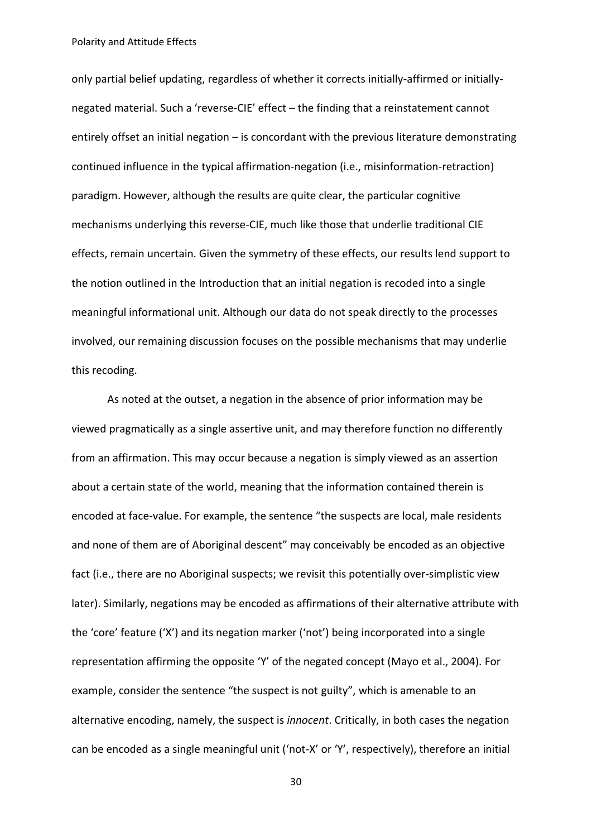only partial belief updating, regardless of whether it corrects initially-affirmed or initiallynegated material. Such a 'reverse-CIE' effect – the finding that a reinstatement cannot entirely offset an initial negation – is concordant with the previous literature demonstrating continued influence in the typical affirmation-negation (i.e., misinformation-retraction) paradigm. However, although the results are quite clear, the particular cognitive mechanisms underlying this reverse-CIE, much like those that underlie traditional CIE effects, remain uncertain. Given the symmetry of these effects, our results lend support to the notion outlined in the Introduction that an initial negation is recoded into a single meaningful informational unit. Although our data do not speak directly to the processes involved, our remaining discussion focuses on the possible mechanisms that may underlie this recoding.

As noted at the outset, a negation in the absence of prior information may be viewed pragmatically as a single assertive unit, and may therefore function no differently from an affirmation. This may occur because a negation is simply viewed as an assertion about a certain state of the world, meaning that the information contained therein is encoded at face-value. For example, the sentence "the suspects are local, male residents and none of them are of Aboriginal descent" may conceivably be encoded as an objective fact (i.e., there are no Aboriginal suspects; we revisit this potentially over-simplistic view later). Similarly, negations may be encoded as affirmations of their alternative attribute with the 'core' feature ('X') and its negation marker ('not') being incorporated into a single representation affirming the opposite 'Y' of the negated concept (Mayo et al., 2004). For example, consider the sentence "the suspect is not guilty", which is amenable to an alternative encoding, namely, the suspect is *innocent*. Critically, in both cases the negation can be encoded as a single meaningful unit ('not-X' or 'Y', respectively), therefore an initial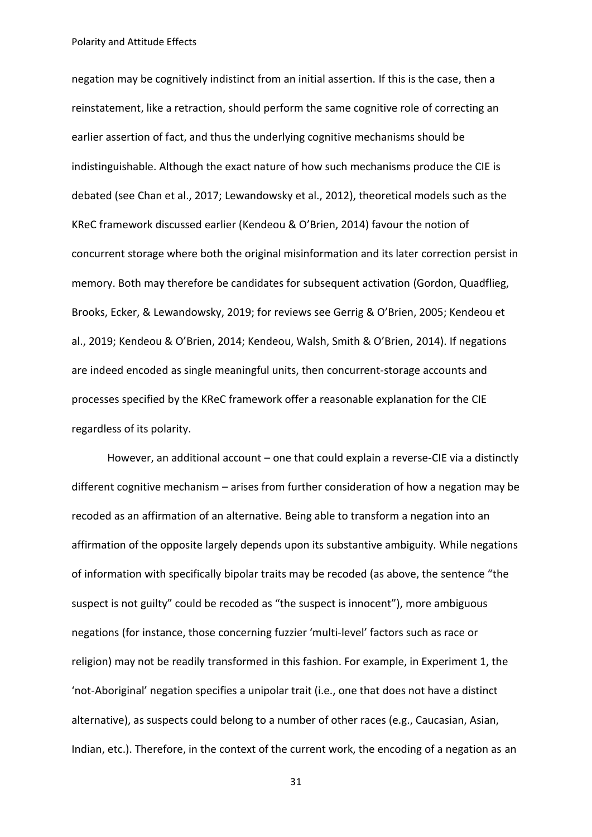negation may be cognitively indistinct from an initial assertion. If this is the case, then a reinstatement, like a retraction, should perform the same cognitive role of correcting an earlier assertion of fact, and thus the underlying cognitive mechanisms should be indistinguishable. Although the exact nature of how such mechanisms produce the CIE is debated (see Chan et al., 2017; Lewandowsky et al., 2012), theoretical models such as the KReC framework discussed earlier (Kendeou & O'Brien, 2014) favour the notion of concurrent storage where both the original misinformation and its later correction persist in memory. Both may therefore be candidates for subsequent activation (Gordon, Quadflieg, Brooks, Ecker, & Lewandowsky, 2019; for reviews see Gerrig & O'Brien, 2005; Kendeou et al., 2019; Kendeou & O'Brien, 2014; Kendeou, Walsh, Smith & O'Brien, 2014). If negations are indeed encoded as single meaningful units, then concurrent-storage accounts and processes specified by the KReC framework offer a reasonable explanation for the CIE regardless of its polarity.

However, an additional account – one that could explain a reverse-CIE via a distinctly different cognitive mechanism – arises from further consideration of how a negation may be recoded as an affirmation of an alternative. Being able to transform a negation into an affirmation of the opposite largely depends upon its substantive ambiguity. While negations of information with specifically bipolar traits may be recoded (as above, the sentence "the suspect is not guilty" could be recoded as "the suspect is innocent"), more ambiguous negations (for instance, those concerning fuzzier 'multi-level' factors such as race or religion) may not be readily transformed in this fashion. For example, in Experiment 1, the 'not-Aboriginal' negation specifies a unipolar trait (i.e., one that does not have a distinct alternative), as suspects could belong to a number of other races (e.g., Caucasian, Asian, Indian, etc.). Therefore, in the context of the current work, the encoding of a negation as an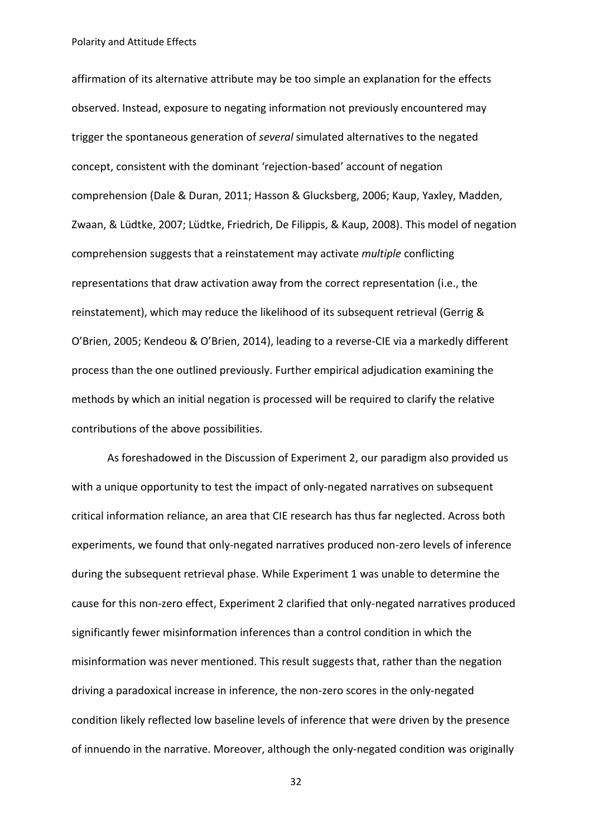affirmation of its alternative attribute may be too simple an explanation for the effects observed. Instead, exposure to negating information not previously encountered may trigger the spontaneous generation of *several* simulated alternatives to the negated concept, consistent with the dominant 'rejection-based' account of negation comprehension (Dale & Duran, 2011; Hasson & Glucksberg, 2006; Kaup, Yaxley, Madden, Zwaan, & Lüdtke, 2007; Lüdtke, Friedrich, De Filippis, & Kaup, 2008). This model of negation comprehension suggests that a reinstatement may activate *multiple* conflicting representations that draw activation away from the correct representation (i.e., the reinstatement), which may reduce the likelihood of its subsequent retrieval (Gerrig & O'Brien, 2005; Kendeou & O'Brien, 2014), leading to a reverse-CIE via a markedly different process than the one outlined previously. Further empirical adjudication examining the methods by which an initial negation is processed will be required to clarify the relative contributions of the above possibilities.

As foreshadowed in the Discussion of Experiment 2, our paradigm also provided us with a unique opportunity to test the impact of only-negated narratives on subsequent critical information reliance, an area that CIE research has thus far neglected. Across both experiments, we found that only-negated narratives produced non-zero levels of inference during the subsequent retrieval phase. While Experiment 1 was unable to determine the cause for this non-zero effect, Experiment 2 clarified that only-negated narratives produced significantly fewer misinformation inferences than a control condition in which the misinformation was never mentioned. This result suggests that, rather than the negation driving a paradoxical increase in inference, the non-zero scores in the only-negated condition likely reflected low baseline levels of inference that were driven by the presence of innuendo in the narrative. Moreover, although the only-negated condition was originally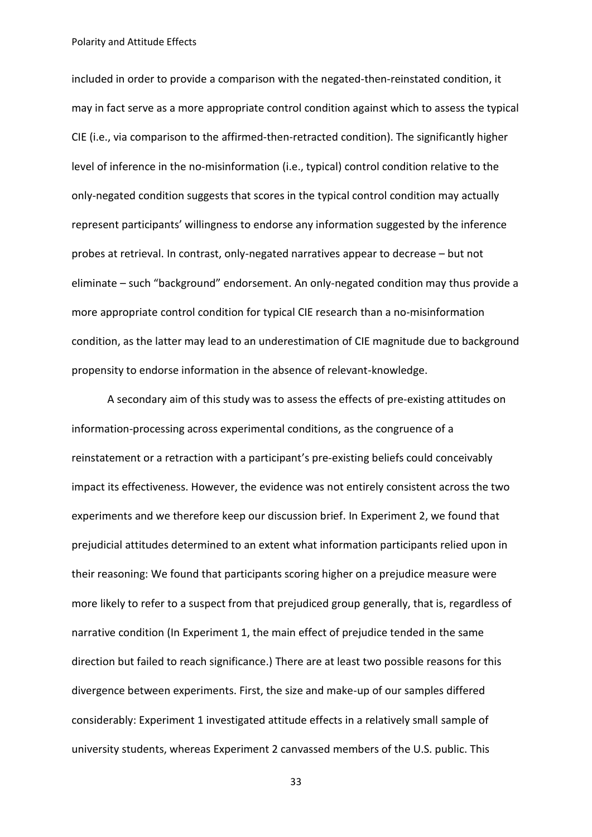included in order to provide a comparison with the negated-then-reinstated condition, it may in fact serve as a more appropriate control condition against which to assess the typical CIE (i.e., via comparison to the affirmed-then-retracted condition). The significantly higher level of inference in the no-misinformation (i.e., typical) control condition relative to the only-negated condition suggests that scores in the typical control condition may actually represent participants' willingness to endorse any information suggested by the inference probes at retrieval. In contrast, only-negated narratives appear to decrease – but not eliminate – such "background" endorsement. An only-negated condition may thus provide a more appropriate control condition for typical CIE research than a no-misinformation condition, as the latter may lead to an underestimation of CIE magnitude due to background propensity to endorse information in the absence of relevant-knowledge.

A secondary aim of this study was to assess the effects of pre-existing attitudes on information-processing across experimental conditions, as the congruence of a reinstatement or a retraction with a participant's pre-existing beliefs could conceivably impact its effectiveness. However, the evidence was not entirely consistent across the two experiments and we therefore keep our discussion brief. In Experiment 2, we found that prejudicial attitudes determined to an extent what information participants relied upon in their reasoning: We found that participants scoring higher on a prejudice measure were more likely to refer to a suspect from that prejudiced group generally, that is, regardless of narrative condition (In Experiment 1, the main effect of prejudice tended in the same direction but failed to reach significance.) There are at least two possible reasons for this divergence between experiments. First, the size and make-up of our samples differed considerably: Experiment 1 investigated attitude effects in a relatively small sample of university students, whereas Experiment 2 canvassed members of the U.S. public. This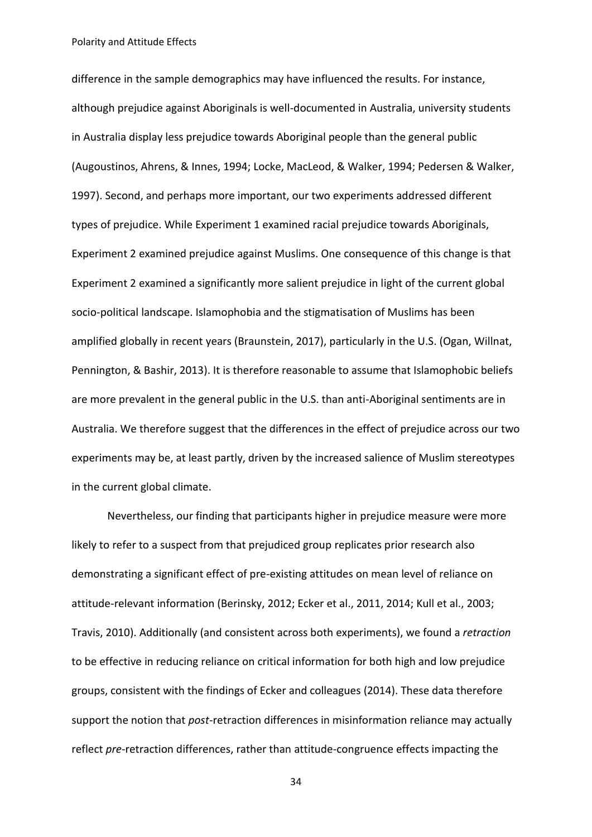difference in the sample demographics may have influenced the results. For instance, although prejudice against Aboriginals is well-documented in Australia, university students in Australia display less prejudice towards Aboriginal people than the general public (Augoustinos, Ahrens, & Innes, 1994; Locke, MacLeod, & Walker, 1994; Pedersen & Walker, 1997). Second, and perhaps more important, our two experiments addressed different types of prejudice. While Experiment 1 examined racial prejudice towards Aboriginals, Experiment 2 examined prejudice against Muslims. One consequence of this change is that Experiment 2 examined a significantly more salient prejudice in light of the current global socio-political landscape. Islamophobia and the stigmatisation of Muslims has been amplified globally in recent years (Braunstein, 2017), particularly in the U.S. (Ogan, Willnat, Pennington, & Bashir, 2013). It is therefore reasonable to assume that Islamophobic beliefs are more prevalent in the general public in the U.S. than anti-Aboriginal sentiments are in Australia. We therefore suggest that the differences in the effect of prejudice across our two experiments may be, at least partly, driven by the increased salience of Muslim stereotypes in the current global climate.

Nevertheless, our finding that participants higher in prejudice measure were more likely to refer to a suspect from that prejudiced group replicates prior research also demonstrating a significant effect of pre-existing attitudes on mean level of reliance on attitude-relevant information (Berinsky, 2012; Ecker et al., 2011, 2014; Kull et al., 2003; Travis, 2010). Additionally (and consistent across both experiments), we found a *retraction* to be effective in reducing reliance on critical information for both high and low prejudice groups, consistent with the findings of Ecker and colleagues (2014). These data therefore support the notion that *post*-retraction differences in misinformation reliance may actually reflect *pre*-retraction differences, rather than attitude-congruence effects impacting the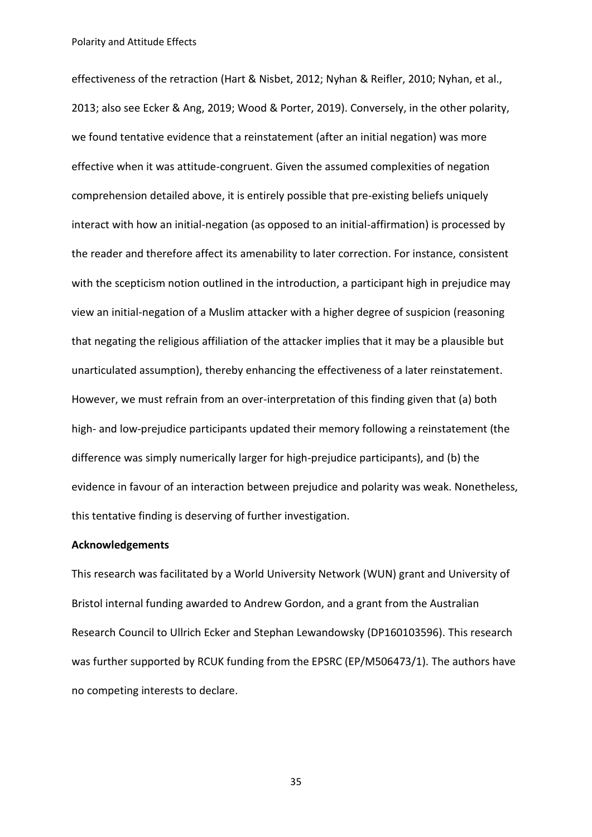effectiveness of the retraction (Hart & Nisbet, 2012; Nyhan & Reifler, 2010; Nyhan, et al., 2013; also see Ecker & Ang, 2019; Wood & Porter, 2019). Conversely, in the other polarity, we found tentative evidence that a reinstatement (after an initial negation) was more effective when it was attitude-congruent. Given the assumed complexities of negation comprehension detailed above, it is entirely possible that pre-existing beliefs uniquely interact with how an initial-negation (as opposed to an initial-affirmation) is processed by the reader and therefore affect its amenability to later correction. For instance, consistent with the scepticism notion outlined in the introduction, a participant high in prejudice may view an initial-negation of a Muslim attacker with a higher degree of suspicion (reasoning that negating the religious affiliation of the attacker implies that it may be a plausible but unarticulated assumption), thereby enhancing the effectiveness of a later reinstatement. However, we must refrain from an over-interpretation of this finding given that (a) both high- and low-prejudice participants updated their memory following a reinstatement (the difference was simply numerically larger for high-prejudice participants), and (b) the evidence in favour of an interaction between prejudice and polarity was weak. Nonetheless, this tentative finding is deserving of further investigation.

## **Acknowledgements**

This research was facilitated by a World University Network (WUN) grant and University of Bristol internal funding awarded to Andrew Gordon, and a grant from the Australian Research Council to Ullrich Ecker and Stephan Lewandowsky (DP160103596). This research was further supported by RCUK funding from the EPSRC (EP/M506473/1). The authors have no competing interests to declare.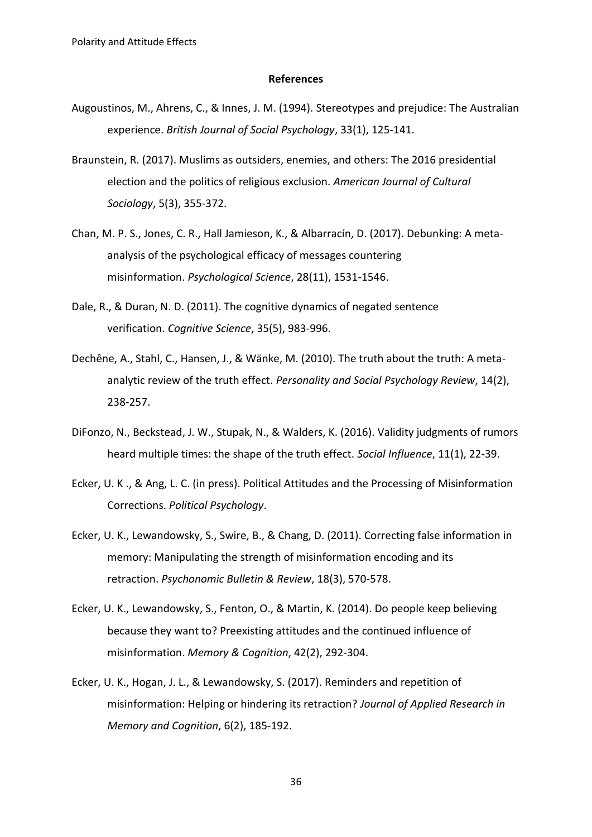#### **References**

- Augoustinos, M., Ahrens, C., & Innes, J. M. (1994). Stereotypes and prejudice: The Australian experience. *British Journal of Social Psychology*, 33(1), 125-141.
- Braunstein, R. (2017). Muslims as outsiders, enemies, and others: The 2016 presidential election and the politics of religious exclusion. *American Journal of Cultural Sociology*, 5(3), 355-372.
- Chan, M. P. S., Jones, C. R., Hall Jamieson, K., & Albarracín, D. (2017). Debunking: A metaanalysis of the psychological efficacy of messages countering misinformation. *Psychological Science*, 28(11), 1531-1546.
- Dale, R., & Duran, N. D. (2011). The cognitive dynamics of negated sentence verification. *Cognitive Science*, 35(5), 983-996.
- Dechêne, A., Stahl, C., Hansen, J., & Wänke, M. (2010). The truth about the truth: A metaanalytic review of the truth effect. *Personality and Social Psychology Review*, 14(2), 238-257.
- DiFonzo, N., Beckstead, J. W., Stupak, N., & Walders, K. (2016). Validity judgments of rumors heard multiple times: the shape of the truth effect. *Social Influence*, 11(1), 22-39.
- Ecker, U. K ., & Ang, L. C. (in press). Political Attitudes and the Processing of Misinformation Corrections. *Political Psychology*.
- Ecker, U. K., Lewandowsky, S., Swire, B., & Chang, D. (2011). Correcting false information in memory: Manipulating the strength of misinformation encoding and its retraction. *Psychonomic Bulletin & Review*, 18(3), 570-578.
- Ecker, U. K., Lewandowsky, S., Fenton, O., & Martin, K. (2014). Do people keep believing because they want to? Preexisting attitudes and the continued influence of misinformation. *Memory & Cognition*, 42(2), 292-304.
- Ecker, U. K., Hogan, J. L., & Lewandowsky, S. (2017). Reminders and repetition of misinformation: Helping or hindering its retraction? *Journal of Applied Research in Memory and Cognition*, 6(2), 185-192.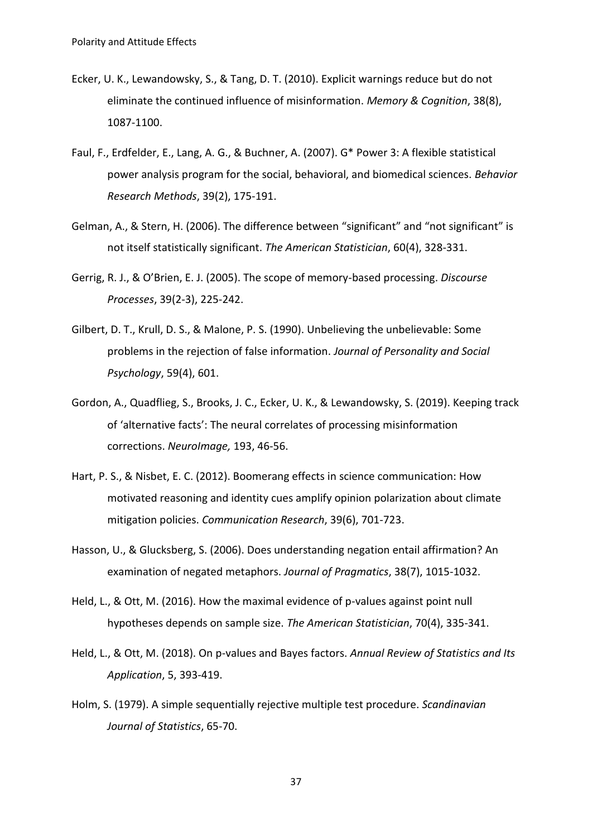- Ecker, U. K., Lewandowsky, S., & Tang, D. T. (2010). Explicit warnings reduce but do not eliminate the continued influence of misinformation. *Memory & Cognition*, 38(8), 1087-1100.
- Faul, F., Erdfelder, E., Lang, A. G., & Buchner, A. (2007). G\* Power 3: A flexible statistical power analysis program for the social, behavioral, and biomedical sciences. *Behavior Research Methods*, 39(2), 175-191.
- Gelman, A., & Stern, H. (2006). The difference between "significant" and "not significant" is not itself statistically significant. *The American Statistician*, 60(4), 328-331.
- Gerrig, R. J., & O'Brien, E. J. (2005). The scope of memory-based processing. *Discourse Processes*, 39(2-3), 225-242.
- Gilbert, D. T., Krull, D. S., & Malone, P. S. (1990). Unbelieving the unbelievable: Some problems in the rejection of false information. *Journal of Personality and Social Psychology*, 59(4), 601.
- Gordon, A., Quadflieg, S., Brooks, J. C., Ecker, U. K., & Lewandowsky, S. (2019). Keeping track of 'alternative facts': The neural correlates of processing misinformation corrections. *NeuroImage,* 193, 46-56.
- Hart, P. S., & Nisbet, E. C. (2012). Boomerang effects in science communication: How motivated reasoning and identity cues amplify opinion polarization about climate mitigation policies. *Communication Research*, 39(6), 701-723.
- Hasson, U., & Glucksberg, S. (2006). Does understanding negation entail affirmation? An examination of negated metaphors. *Journal of Pragmatics*, 38(7), 1015-1032.
- Held, L., & Ott, M. (2016). How the maximal evidence of p-values against point null hypotheses depends on sample size. *The American Statistician*, 70(4), 335-341.
- Held, L., & Ott, M. (2018). On p-values and Bayes factors. *Annual Review of Statistics and Its Application*, 5, 393-419.
- Holm, S. (1979). A simple sequentially rejective multiple test procedure. *Scandinavian Journal of Statistics*, 65-70.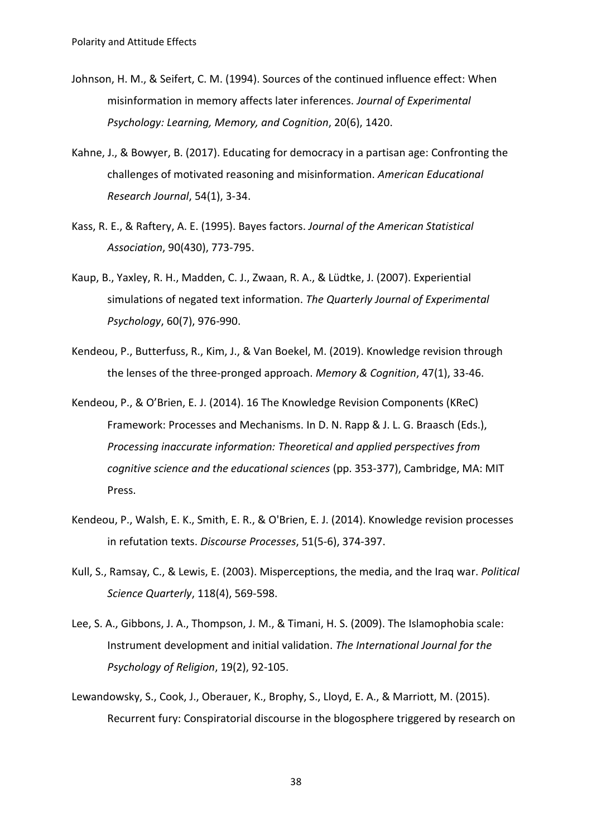- Johnson, H. M., & Seifert, C. M. (1994). Sources of the continued influence effect: When misinformation in memory affects later inferences. *Journal of Experimental Psychology: Learning, Memory, and Cognition*, 20(6), 1420.
- Kahne, J., & Bowyer, B. (2017). Educating for democracy in a partisan age: Confronting the challenges of motivated reasoning and misinformation. *American Educational Research Journal*, 54(1), 3-34.
- Kass, R. E., & Raftery, A. E. (1995). Bayes factors. *Journal of the American Statistical Association*, 90(430), 773-795.
- Kaup, B., Yaxley, R. H., Madden, C. J., Zwaan, R. A., & Lüdtke, J. (2007). Experiential simulations of negated text information. *The Quarterly Journal of Experimental Psychology*, 60(7), 976-990.
- Kendeou, P., Butterfuss, R., Kim, J., & Van Boekel, M. (2019). Knowledge revision through the lenses of the three-pronged approach. *Memory & Cognition*, 47(1), 33-46.
- Kendeou, P., & O'Brien, E. J. (2014). 16 The Knowledge Revision Components (KReC) Framework: Processes and Mechanisms. In D. N. Rapp & J. L. G. Braasch (Eds.), *Processing inaccurate information: Theoretical and applied perspectives from cognitive science and the educational sciences* (pp. 353-377), Cambridge, MA: MIT Press.
- Kendeou, P., Walsh, E. K., Smith, E. R., & O'Brien, E. J. (2014). Knowledge revision processes in refutation texts. *Discourse Processes*, 51(5-6), 374-397.
- Kull, S., Ramsay, C., & Lewis, E. (2003). Misperceptions, the media, and the Iraq war. *Political Science Quarterly*, 118(4), 569-598.
- Lee, S. A., Gibbons, J. A., Thompson, J. M., & Timani, H. S. (2009). The Islamophobia scale: Instrument development and initial validation. *The International Journal for the Psychology of Religion*, 19(2), 92-105.
- Lewandowsky, S., Cook, J., Oberauer, K., Brophy, S., Lloyd, E. A., & Marriott, M. (2015). Recurrent fury: Conspiratorial discourse in the blogosphere triggered by research on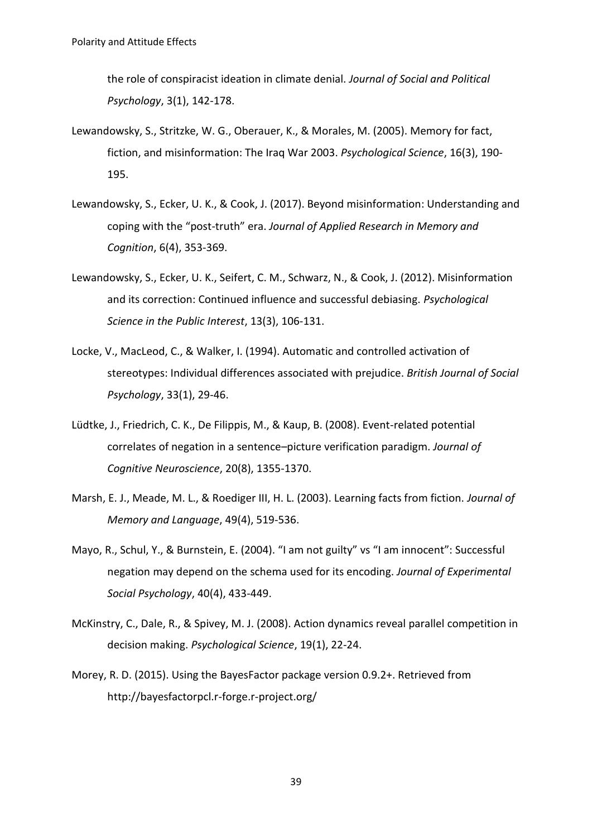the role of conspiracist ideation in climate denial. *Journal of Social and Political Psychology*, 3(1), 142-178.

- Lewandowsky, S., Stritzke, W. G., Oberauer, K., & Morales, M. (2005). Memory for fact, fiction, and misinformation: The Iraq War 2003. *Psychological Science*, 16(3), 190- 195.
- Lewandowsky, S., Ecker, U. K., & Cook, J. (2017). Beyond misinformation: Understanding and coping with the "post-truth" era. *Journal of Applied Research in Memory and Cognition*, 6(4), 353-369.
- Lewandowsky, S., Ecker, U. K., Seifert, C. M., Schwarz, N., & Cook, J. (2012). Misinformation and its correction: Continued influence and successful debiasing. *Psychological Science in the Public Interest*, 13(3), 106-131.
- Locke, V., MacLeod, C., & Walker, I. (1994). Automatic and controlled activation of stereotypes: Individual differences associated with prejudice. *British Journal of Social Psychology*, 33(1), 29-46.
- Lüdtke, J., Friedrich, C. K., De Filippis, M., & Kaup, B. (2008). Event-related potential correlates of negation in a sentence–picture verification paradigm. *Journal of Cognitive Neuroscience*, 20(8), 1355-1370.
- Marsh, E. J., Meade, M. L., & Roediger III, H. L. (2003). Learning facts from fiction. *Journal of Memory and Language*, 49(4), 519-536.
- Mayo, R., Schul, Y., & Burnstein, E. (2004). "I am not guilty" vs "I am innocent": Successful negation may depend on the schema used for its encoding. *Journal of Experimental Social Psychology*, 40(4), 433-449.
- McKinstry, C., Dale, R., & Spivey, M. J. (2008). Action dynamics reveal parallel competition in decision making. *Psychological Science*, 19(1), 22-24.
- Morey, R. D. (2015). Using the BayesFactor package version 0.9.2+. Retrieved from http://bayesfactorpcl.r-forge.r-project.org/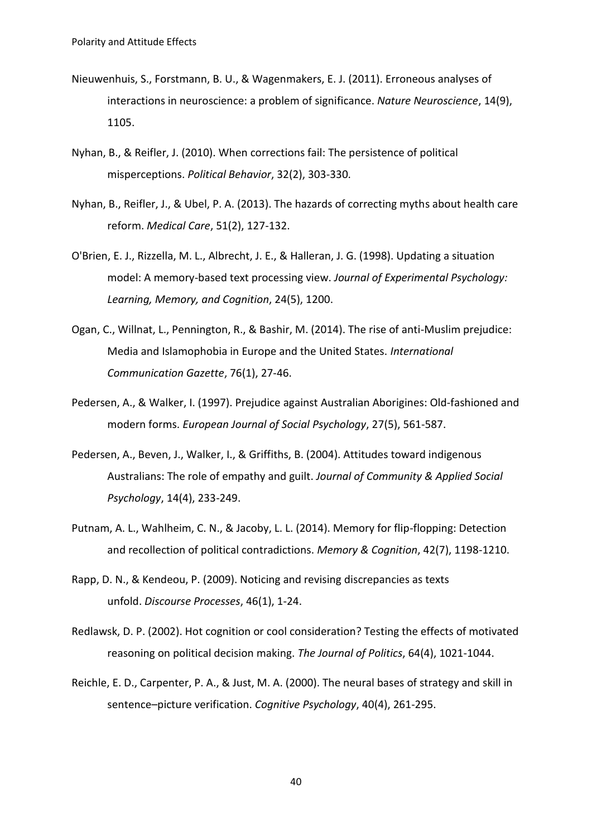- Nieuwenhuis, S., Forstmann, B. U., & Wagenmakers, E. J. (2011). Erroneous analyses of interactions in neuroscience: a problem of significance. *Nature Neuroscience*, 14(9), 1105.
- Nyhan, B., & Reifler, J. (2010). When corrections fail: The persistence of political misperceptions. *Political Behavior*, 32(2), 303-330.
- Nyhan, B., Reifler, J., & Ubel, P. A. (2013). The hazards of correcting myths about health care reform. *Medical Care*, 51(2), 127-132.
- O'Brien, E. J., Rizzella, M. L., Albrecht, J. E., & Halleran, J. G. (1998). Updating a situation model: A memory-based text processing view. *Journal of Experimental Psychology: Learning, Memory, and Cognition*, 24(5), 1200.
- Ogan, C., Willnat, L., Pennington, R., & Bashir, M. (2014). The rise of anti-Muslim prejudice: Media and Islamophobia in Europe and the United States. *International Communication Gazette*, 76(1), 27-46.
- Pedersen, A., & Walker, I. (1997). Prejudice against Australian Aborigines: Old‐fashioned and modern forms. *European Journal of Social Psychology*, 27(5), 561-587.
- Pedersen, A., Beven, J., Walker, I., & Griffiths, B. (2004). Attitudes toward indigenous Australians: The role of empathy and guilt. *Journal of Community & Applied Social Psychology*, 14(4), 233-249.
- Putnam, A. L., Wahlheim, C. N., & Jacoby, L. L. (2014). Memory for flip-flopping: Detection and recollection of political contradictions. *Memory & Cognition*, 42(7), 1198-1210.
- Rapp, D. N., & Kendeou, P. (2009). Noticing and revising discrepancies as texts unfold. *Discourse Processes*, 46(1), 1-24.
- Redlawsk, D. P. (2002). Hot cognition or cool consideration? Testing the effects of motivated reasoning on political decision making. *The Journal of Politics*, 64(4), 1021-1044.
- Reichle, E. D., Carpenter, P. A., & Just, M. A. (2000). The neural bases of strategy and skill in sentence–picture verification. *Cognitive Psychology*, 40(4), 261-295.